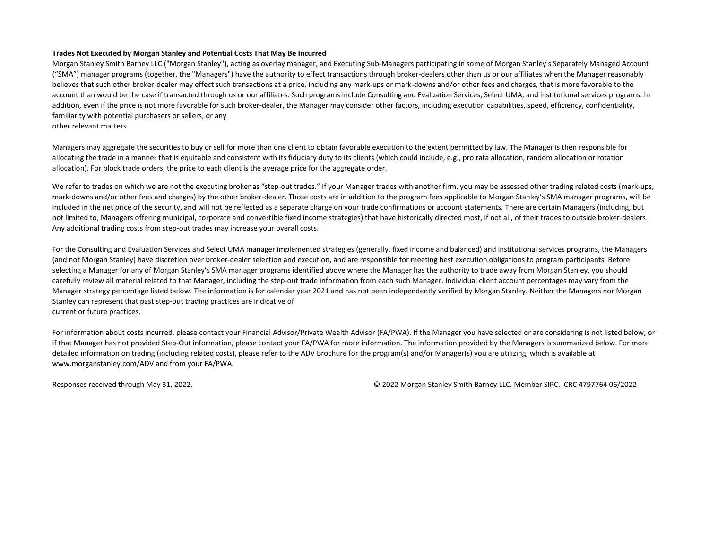## **Trades Not Executed by Morgan Stanley and Potential Costs That May Be Incurred**

Morgan Stanley Smith Barney LLC ("Morgan Stanley"), acting as overlay manager, and Executing Sub-Managers participating in some of Morgan Stanley's Separately Managed Account ("SMA") manager programs (together, the "Managers") have the authority to effect transactions through broker-dealers other than us or our affiliates when the Manager reasonably believes that such other broker-dealer may effect such transactions at a price, including any mark-ups or mark-downs and/or other fees and charges, that is more favorable to the account than would be the case if transacted through us or our affiliates. Such programs include Consulting and Evaluation Services, Select UMA, and institutional services programs. In addition, even if the price is not more favorable for such broker-dealer, the Manager may consider other factors, including execution capabilities, speed, efficiency, confidentiality, familiarity with potential purchasers or sellers, or any

other relevant matters.

Managers may aggregate the securities to buy or sell for more than one client to obtain favorable execution to the extent permitted by law. The Manager is then responsible for allocating the trade in a manner that is equitable and consistent with its fiduciary duty to its clients (which could include, e.g., pro rata allocation, random allocation or rotation allocation). For block trade orders, the price to each client is the average price for the aggregate order.

We refer to trades on which we are not the executing broker as "step-out trades." If your Manager trades with another firm, you may be assessed other trading related costs (mark-ups, mark-downs and/or other fees and charges) by the other broker-dealer. Those costs are in addition to the program fees applicable to Morgan Stanley's SMA manager programs, will be included in the net price of the security, and will not be reflected as a separate charge on your trade confirmations or account statements. There are certain Managers (including, but not limited to, Managers offering municipal, corporate and convertible fixed income strategies) that have historically directed most, if not all, of their trades to outside broker-dealers. Any additional trading costs from step-out trades may increase your overall costs.

For the Consulting and Evaluation Services and Select UMA manager implemented strategies (generally, fixed income and balanced) and institutional services programs, the Managers (and not Morgan Stanley) have discretion over broker-dealer selection and execution, and are responsible for meeting best execution obligations to program participants. Before selecting a Manager for any of Morgan Stanley's SMA manager programs identified above where the Manager has the authority to trade away from Morgan Stanley, you should carefully review all material related to that Manager, including the step-out trade information from each such Manager. Individual client account percentages may vary from the Manager strategy percentage listed below. The information is for calendar year 2021 and has not been independently verified by Morgan Stanley. Neither the Managers nor Morgan Stanley can represent that past step-out trading practices are indicative of current or future practices.

For information about costs incurred, please contact your Financial Advisor/Private Wealth Advisor (FA/PWA). If the Manager you have selected or are considering is not listed below, or if that Manager has not provided Step-Out information, please contact your FA/PWA for more information. The information provided by the Managers is summarized below. For more detailed information on trading (including related costs), please refer to the ADV Brochure for the program(s) and/or Manager(s) you are utilizing, which is available at www.morganstanley.com/ADV and from your FA/PWA.

Responses received through May 31, 2022. © 2022 Morgan Stanley Smith Barney LLC. Member SIPC. CRC 4797764 06/2022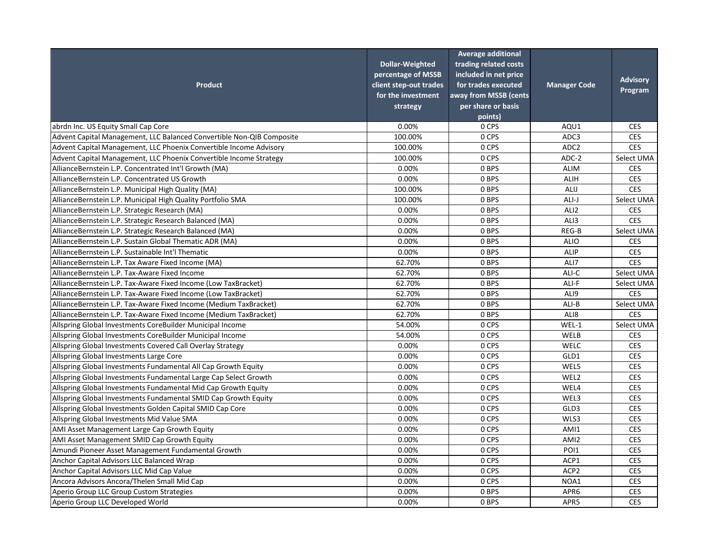| <b>Product</b>                                                        | <b>Dollar-Weighted</b><br>percentage of MSSB<br>client step-out trades<br>for the investment<br>strategy | <b>Average additional</b><br>trading related costs<br>included in net price<br>for trades executed<br>away from MSSB (cents<br>per share or basis<br>points) | <b>Manager Code</b> | <b>Advisory</b><br>Program |
|-----------------------------------------------------------------------|----------------------------------------------------------------------------------------------------------|--------------------------------------------------------------------------------------------------------------------------------------------------------------|---------------------|----------------------------|
| abrdn Inc. US Equity Small Cap Core                                   | 0.00%                                                                                                    | 0 CPS                                                                                                                                                        | AQU1                | <b>CES</b>                 |
| Advent Capital Management, LLC Balanced Convertible Non-QIB Composite | 100.00%                                                                                                  | 0 CPS                                                                                                                                                        | ADC3                | <b>CES</b>                 |
| Advent Capital Management, LLC Phoenix Convertible Income Advisory    | 100.00%                                                                                                  | 0 CPS                                                                                                                                                        | ADC <sub>2</sub>    | <b>CES</b>                 |
| Advent Capital Management, LLC Phoenix Convertible Income Strategy    | 100.00%                                                                                                  | 0 CPS                                                                                                                                                        | ADC-2               | Select UMA                 |
| AllianceBernstein L.P. Concentrated Int'l Growth (MA)                 | 0.00%                                                                                                    | 0 BPS                                                                                                                                                        | <b>ALIM</b>         | <b>CES</b>                 |
| AllianceBernstein L.P. Concentrated US Growth                         | 0.00%                                                                                                    | 0 BPS                                                                                                                                                        | <b>ALIH</b>         | <b>CES</b>                 |
| AllianceBernstein L.P. Municipal High Quality (MA)                    | 100.00%                                                                                                  | 0 BPS                                                                                                                                                        | ALIJ                | <b>CES</b>                 |
| AllianceBernstein L.P. Municipal High Quality Portfolio SMA           | 100.00%                                                                                                  | 0 BPS                                                                                                                                                        | ALI-J               | Select UMA                 |
| AllianceBernstein L.P. Strategic Research (MA)                        | 0.00%                                                                                                    | 0 BPS                                                                                                                                                        | ALI <sub>2</sub>    | <b>CES</b>                 |
| AllianceBernstein L.P. Strategic Research Balanced (MA)               | 0.00%                                                                                                    | 0 BPS                                                                                                                                                        | ALI3                | <b>CES</b>                 |
| AllianceBernstein L.P. Strategic Research Balanced (MA)               | 0.00%                                                                                                    | 0 BPS                                                                                                                                                        | REG-B               | Select UMA                 |
| AllianceBernstein L.P. Sustain Global Thematic ADR (MA)               | 0.00%                                                                                                    | 0 BPS                                                                                                                                                        | <b>ALIO</b>         | <b>CES</b>                 |
| AllianceBernstein L.P. Sustainable Int'l Thematic                     | 0.00%                                                                                                    | 0 BPS                                                                                                                                                        | ALIP                | <b>CES</b>                 |
| AllianceBernstein L.P. Tax Aware Fixed Income (MA)                    | 62.70%                                                                                                   | 0 BPS                                                                                                                                                        | ALI7                | <b>CES</b>                 |
| AllianceBernstein L.P. Tax-Aware Fixed Income                         | 62.70%                                                                                                   | 0 BPS                                                                                                                                                        | ALI-C               | Select UMA                 |
| AllianceBernstein L.P. Tax-Aware Fixed Income (Low TaxBracket)        | 62.70%                                                                                                   | 0 BPS                                                                                                                                                        | ALI-F               | Select UMA                 |
| AllianceBernstein L.P. Tax-Aware Fixed Income (Low TaxBracket)        | 62.70%                                                                                                   | 0 BPS                                                                                                                                                        | ALI9                | <b>CES</b>                 |
| AllianceBernstein L.P. Tax-Aware Fixed Income (Medium TaxBracket)     | 62.70%                                                                                                   | 0 BPS                                                                                                                                                        | ALI-B               | Select UMA                 |
| AllianceBernstein L.P. Tax-Aware Fixed Income (Medium TaxBracket)     | 62.70%                                                                                                   | 0 BPS                                                                                                                                                        | ALI8                | <b>CES</b>                 |
| Allspring Global Investments CoreBuilder Municipal Income             | 54.00%                                                                                                   | 0 CPS                                                                                                                                                        | WEL-1               | Select UMA                 |
| Allspring Global Investments CoreBuilder Municipal Income             | 54.00%                                                                                                   | 0 CPS                                                                                                                                                        | WELB                | <b>CES</b>                 |
| Allspring Global Investments Covered Call Overlay Strategy            | 0.00%                                                                                                    | 0 CPS                                                                                                                                                        | WELC                | <b>CES</b>                 |
| Allspring Global Investments Large Core                               | 0.00%                                                                                                    | 0 CPS                                                                                                                                                        | GLD1                | <b>CES</b>                 |
| Allspring Global Investments Fundamental All Cap Growth Equity        | 0.00%                                                                                                    | 0 CPS                                                                                                                                                        | WEL5                | <b>CES</b>                 |
| Allspring Global Investments Fundamental Large Cap Select Growth      | 0.00%                                                                                                    | 0 CPS                                                                                                                                                        | WEL2                | <b>CES</b>                 |
| Allspring Global Investments Fundamental Mid Cap Growth Equity        | 0.00%                                                                                                    | 0 CPS                                                                                                                                                        | WEL4                | <b>CES</b>                 |
| Allspring Global Investments Fundamental SMID Cap Growth Equity       | 0.00%                                                                                                    | 0 CPS                                                                                                                                                        | WEL3                | <b>CES</b>                 |
| Allspring Global Investments Golden Capital SMID Cap Core             | 0.00%                                                                                                    | 0 CPS                                                                                                                                                        | GLD3                | <b>CES</b>                 |
| Allspring Global Investments Mid Value SMA                            | 0.00%                                                                                                    | 0 CPS                                                                                                                                                        | WLS3                | <b>CES</b>                 |
| AMI Asset Management Large Cap Growth Equity                          | 0.00%                                                                                                    | 0 CPS                                                                                                                                                        | AMI1                | <b>CES</b>                 |
| <b>AMI Asset Management SMID Cap Growth Equity</b>                    | 0.00%                                                                                                    | 0 CPS                                                                                                                                                        | AMI2                | <b>CES</b>                 |
| Amundi Pioneer Asset Management Fundamental Growth                    | 0.00%                                                                                                    | 0 CPS                                                                                                                                                        | POI1                | <b>CES</b>                 |
| Anchor Capital Advisors LLC Balanced Wrap                             | 0.00%                                                                                                    | 0 CPS                                                                                                                                                        | ACP1                | <b>CES</b>                 |
| Anchor Capital Advisors LLC Mid Cap Value                             | 0.00%                                                                                                    | 0 CPS                                                                                                                                                        | ACP <sub>2</sub>    | <b>CES</b>                 |
| Ancora Advisors Ancora/Thelen Small Mid Cap                           | 0.00%                                                                                                    | 0 CPS                                                                                                                                                        | NOA1                | <b>CES</b>                 |
| Aperio Group LLC Group Custom Strategies                              | 0.00%                                                                                                    | 0 BPS                                                                                                                                                        | APR6                | <b>CES</b>                 |
| Aperio Group LLC Developed World                                      | 0.00%                                                                                                    | 0 BPS                                                                                                                                                        | APR5                | <b>CES</b>                 |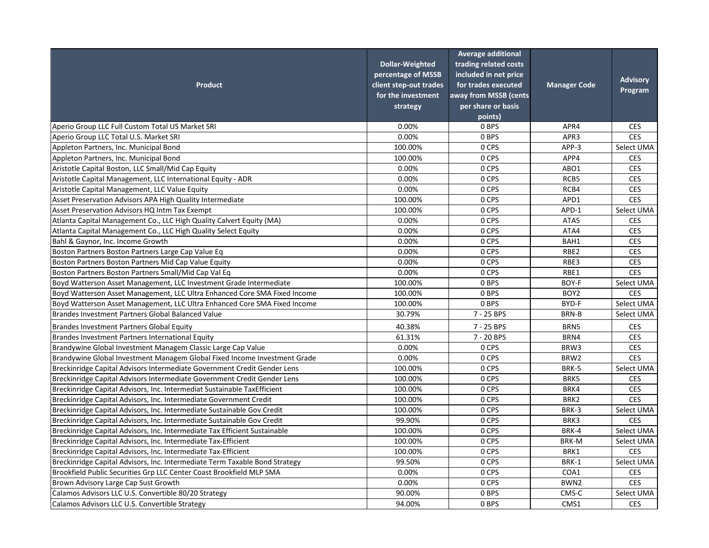| <b>Product</b>                                                              | <b>Dollar-Weighted</b><br>percentage of MSSB<br>client step-out trades<br>for the investment<br>strategy | <b>Average additional</b><br>trading related costs<br>included in net price<br>for trades executed<br>away from MSSB (cents)<br>per share or basis<br>points) | <b>Manager Code</b> | <b>Advisory</b><br>Program |
|-----------------------------------------------------------------------------|----------------------------------------------------------------------------------------------------------|---------------------------------------------------------------------------------------------------------------------------------------------------------------|---------------------|----------------------------|
| Aperio Group LLC Full Custom Total US Market SRI                            | 0.00%                                                                                                    | 0 BPS                                                                                                                                                         | APR4                | <b>CES</b>                 |
| Aperio Group LLC Total U.S. Market SRI                                      | 0.00%                                                                                                    | 0 BPS                                                                                                                                                         | APR3                | <b>CES</b>                 |
| Appleton Partners, Inc. Municipal Bond                                      | 100.00%                                                                                                  | 0 CPS                                                                                                                                                         | APP-3               | Select UMA                 |
| Appleton Partners, Inc. Municipal Bond                                      | 100.00%                                                                                                  | 0 CPS                                                                                                                                                         | APP4                | <b>CES</b>                 |
| Aristotle Capital Boston, LLC Small/Mid Cap Equity                          | 0.00%                                                                                                    | 0 CPS                                                                                                                                                         | ABO1                | <b>CES</b>                 |
| Aristotle Capital Management, LLC International Equity - ADR                | 0.00%                                                                                                    | 0 CPS                                                                                                                                                         | RCB5                | <b>CES</b>                 |
| Aristotle Capital Management, LLC Value Equity                              | 0.00%                                                                                                    | 0 CPS                                                                                                                                                         | RCB4                | <b>CES</b>                 |
| Asset Preservation Advisors APA High Quality Intermediate                   | 100.00%                                                                                                  | 0 CPS                                                                                                                                                         | APD1                | <b>CES</b>                 |
| Asset Preservation Advisors HQ Intm Tax Exempt                              | 100.00%                                                                                                  | 0 CPS                                                                                                                                                         | APD-1               | Select UMA                 |
| Atlanta Capital Management Co., LLC High Quality Calvert Equity (MA)        | 0.00%                                                                                                    | 0 CPS                                                                                                                                                         | ATA5                | <b>CES</b>                 |
| Atlanta Capital Management Co., LLC High Quality Select Equity              | 0.00%                                                                                                    | 0 CPS                                                                                                                                                         | ATA4                | <b>CES</b>                 |
| Bahl & Gaynor, Inc. Income Growth                                           | 0.00%                                                                                                    | 0 CPS                                                                                                                                                         | BAH1                | <b>CES</b>                 |
| Boston Partners Boston Partners Large Cap Value Eq                          | 0.00%                                                                                                    | 0 CPS                                                                                                                                                         | RBE2                | <b>CES</b>                 |
| Boston Partners Boston Partners Mid Cap Value Equity                        | 0.00%                                                                                                    | 0 CPS                                                                                                                                                         | RBE3                | <b>CES</b>                 |
| Boston Partners Boston Partners Small/Mid Cap Val Eq                        | 0.00%                                                                                                    | 0 CPS                                                                                                                                                         | RBE1                | <b>CES</b>                 |
| Boyd Watterson Asset Management, LLC Investment Grade Intermediate          | 100.00%                                                                                                  | 0 BPS                                                                                                                                                         | BOY-F               | Select UMA                 |
| Boyd Watterson Asset Management, LLC Ultra Enhanced Core SMA Fixed Income   | 100.00%                                                                                                  | 0 BPS                                                                                                                                                         | BOY <sub>2</sub>    | <b>CES</b>                 |
| Boyd Watterson Asset Management, LLC Ultra Enhanced Core SMA Fixed Income   | 100.00%                                                                                                  | 0 BPS                                                                                                                                                         | BYD-F               | Select UMA                 |
| Brandes Investment Partners Global Balanced Value                           | 30.79%                                                                                                   | 7 - 25 BPS                                                                                                                                                    | BRN-B               | Select UMA                 |
| Brandes Investment Partners Global Equity                                   | 40.38%                                                                                                   | 7 - 25 BPS                                                                                                                                                    | BRN5                | <b>CES</b>                 |
| Brandes Investment Partners International Equity                            | 61.31%                                                                                                   | 7 - 20 BPS                                                                                                                                                    | BRN4                | <b>CES</b>                 |
| Brandywine Global Investment Managem Classic Large Cap Value                | 0.00%                                                                                                    | 0 CPS                                                                                                                                                         | BRW3                | <b>CES</b>                 |
| Brandywine Global Investment Managem Global Fixed Income Investment Grade   | 0.00%                                                                                                    | 0 CPS                                                                                                                                                         | BRW2                | <b>CES</b>                 |
| Breckinridge Capital Advisors Intermediate Government Credit Gender Lens    | 100.00%                                                                                                  | 0 CPS                                                                                                                                                         | BRK-5               | Select UMA                 |
| Breckinridge Capital Advisors Intermediate Government Credit Gender Lens    | 100.00%                                                                                                  | 0 CPS                                                                                                                                                         | BRK5                | <b>CES</b>                 |
| Breckinridge Capital Advisors, Inc. Intermediat Sustainable TaxEfficient    | 100.00%                                                                                                  | 0 CPS                                                                                                                                                         | BRK4                | <b>CES</b>                 |
| Breckinridge Capital Advisors, Inc. Intermediate Government Credit          | 100.00%                                                                                                  | 0 CPS                                                                                                                                                         | BRK2                | <b>CES</b>                 |
| Breckinridge Capital Advisors, Inc. Intermediate Sustainable Gov Credit     | 100.00%                                                                                                  | 0 CPS                                                                                                                                                         | BRK-3               | Select UMA                 |
| Breckinridge Capital Advisors, Inc. Intermediate Sustainable Gov Credit     | 99.90%                                                                                                   | 0 CPS                                                                                                                                                         | BRK3                | <b>CES</b>                 |
| Breckinridge Capital Advisors, Inc. Intermediate Tax Efficient Sustainable  | 100.00%                                                                                                  | 0 CPS                                                                                                                                                         | BRK-4               | Select UMA                 |
| Breckinridge Capital Advisors, Inc. Intermediate Tax-Efficient              | 100.00%                                                                                                  | 0 CPS                                                                                                                                                         | <b>BRK-M</b>        | Select UMA                 |
| Breckinridge Capital Advisors, Inc. Intermediate Tax-Efficient              | 100.00%                                                                                                  | 0 CPS                                                                                                                                                         | BRK1                | <b>CES</b>                 |
| Breckinridge Capital Advisors, Inc. Intermediate Term Taxable Bond Strategy | 99.50%                                                                                                   | 0 CPS                                                                                                                                                         | BRK-1               | Select UMA                 |
| Brookfield Public Securities Grp LLC Center Coast Brookfield MLP SMA        | 0.00%                                                                                                    | 0 CPS                                                                                                                                                         | COA1                | <b>CES</b>                 |
| Brown Advisory Large Cap Sust Growth                                        | 0.00%                                                                                                    | 0 CPS                                                                                                                                                         | BWN2                | <b>CES</b>                 |
| Calamos Advisors LLC U.S. Convertible 80/20 Strategy                        | 90.00%                                                                                                   | 0 BPS                                                                                                                                                         | CMS-C               | Select UMA                 |
| Calamos Advisors LLC U.S. Convertible Strategy                              | 94.00%                                                                                                   | 0 BPS                                                                                                                                                         | CMS1                | <b>CES</b>                 |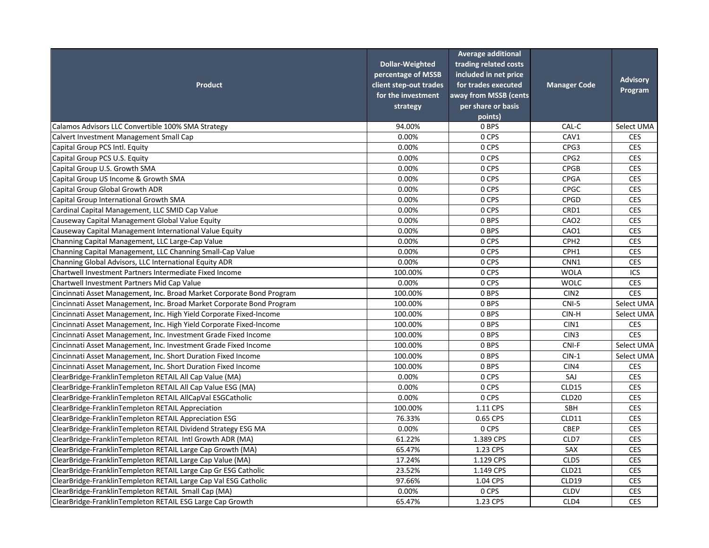| <b>Product</b>                                                        | <b>Dollar-Weighted</b><br>percentage of MSSB<br>client step-out trades<br>for the investment<br>strategy | <b>Average additional</b><br>trading related costs<br>included in net price<br>for trades executed<br>away from MSSB (cents<br>per share or basis<br>points) | <b>Manager Code</b> | <b>Advisory</b><br>Program |
|-----------------------------------------------------------------------|----------------------------------------------------------------------------------------------------------|--------------------------------------------------------------------------------------------------------------------------------------------------------------|---------------------|----------------------------|
| Calamos Advisors LLC Convertible 100% SMA Strategy                    | 94.00%                                                                                                   | 0 BPS                                                                                                                                                        | CAL-C               | Select UMA                 |
| Calvert Investment Management Small Cap                               | 0.00%                                                                                                    | 0 CPS                                                                                                                                                        | CAV1                | <b>CES</b>                 |
| Capital Group PCS Intl. Equity                                        | 0.00%                                                                                                    | 0 CPS                                                                                                                                                        | CPG3                | <b>CES</b>                 |
| Capital Group PCS U.S. Equity                                         | 0.00%                                                                                                    | 0 CPS                                                                                                                                                        | CPG <sub>2</sub>    | <b>CES</b>                 |
| Capital Group U.S. Growth SMA                                         | 0.00%                                                                                                    | 0 CPS                                                                                                                                                        | <b>CPGB</b>         | <b>CES</b>                 |
| Capital Group US Income & Growth SMA                                  | 0.00%                                                                                                    | 0 CPS                                                                                                                                                        | <b>CPGA</b>         | <b>CES</b>                 |
| Capital Group Global Growth ADR                                       | 0.00%                                                                                                    | 0 CPS                                                                                                                                                        | <b>CPGC</b>         | <b>CES</b>                 |
| Capital Group International Growth SMA                                | 0.00%                                                                                                    | 0 CPS                                                                                                                                                        | CPGD                | <b>CES</b>                 |
| Cardinal Capital Management, LLC SMID Cap Value                       | 0.00%                                                                                                    | 0 CPS                                                                                                                                                        | CRD1                | <b>CES</b>                 |
| Causeway Capital Management Global Value Equity                       | 0.00%                                                                                                    | 0 BPS                                                                                                                                                        | CAO <sub>2</sub>    | <b>CES</b>                 |
| Causeway Capital Management International Value Equity                | 0.00%                                                                                                    | 0 BPS                                                                                                                                                        | CAO1                | <b>CES</b>                 |
| Channing Capital Management, LLC Large-Cap Value                      | 0.00%                                                                                                    | 0 CPS                                                                                                                                                        | CPH <sub>2</sub>    | <b>CES</b>                 |
| Channing Capital Management, LLC Channing Small-Cap Value             | 0.00%                                                                                                    | 0 CPS                                                                                                                                                        | CPH1                | <b>CES</b>                 |
| Channing Global Advisors, LLC International Equity ADR                | 0.00%                                                                                                    | 0 CPS                                                                                                                                                        | CNN1                | <b>CES</b>                 |
| Chartwell Investment Partners Intermediate Fixed Income               | 100.00%                                                                                                  | 0 CPS                                                                                                                                                        | <b>WOLA</b>         | ICS                        |
| Chartwell Investment Partners Mid Cap Value                           | 0.00%                                                                                                    | 0 CPS                                                                                                                                                        | <b>WOLC</b>         | <b>CES</b>                 |
| Cincinnati Asset Management, Inc. Broad Market Corporate Bond Program | 100.00%                                                                                                  | 0 BPS                                                                                                                                                        | CIN <sub>2</sub>    | <b>CES</b>                 |
| Cincinnati Asset Management, Inc. Broad Market Corporate Bond Program | 100.00%                                                                                                  | 0 BPS                                                                                                                                                        | CNI-5               | Select UMA                 |
| Cincinnati Asset Management, Inc. High Yield Corporate Fixed-Income   | 100.00%                                                                                                  | 0 BPS                                                                                                                                                        | CIN-H               | Select UMA                 |
| Cincinnati Asset Management, Inc. High Yield Corporate Fixed-Income   | 100.00%                                                                                                  | 0 BPS                                                                                                                                                        | CIN1                | <b>CES</b>                 |
| Cincinnati Asset Management, Inc. Investment Grade Fixed Income       | 100.00%                                                                                                  | 0 BPS                                                                                                                                                        | CIN <sub>3</sub>    | <b>CES</b>                 |
| Cincinnati Asset Management, Inc. Investment Grade Fixed Income       | 100.00%                                                                                                  | 0 BPS                                                                                                                                                        | CNI-F               | Select UMA                 |
| Cincinnati Asset Management, Inc. Short Duration Fixed Income         | 100.00%                                                                                                  | 0 BPS                                                                                                                                                        | $CIN-1$             | Select UMA                 |
| Cincinnati Asset Management, Inc. Short Duration Fixed Income         | 100.00%                                                                                                  | 0 BPS                                                                                                                                                        | CIN4                | <b>CES</b>                 |
| ClearBridge-FranklinTempleton RETAIL All Cap Value (MA)               | 0.00%                                                                                                    | 0 CPS                                                                                                                                                        | SAJ                 | <b>CES</b>                 |
| ClearBridge-FranklinTempleton RETAIL All Cap Value ESG (MA)           | 0.00%                                                                                                    | 0 CPS                                                                                                                                                        | CLD15               | <b>CES</b>                 |
| ClearBridge-FranklinTempleton RETAIL AllCapVal ESGCatholic            | 0.00%                                                                                                    | 0 CPS                                                                                                                                                        | CLD <sub>20</sub>   | <b>CES</b>                 |
| ClearBridge-FranklinTempleton RETAIL Appreciation                     | 100.00%                                                                                                  | 1.11 CPS                                                                                                                                                     | <b>SBH</b>          | <b>CES</b>                 |
| ClearBridge-FranklinTempleton RETAIL Appreciation ESG                 | 76.33%                                                                                                   | 0.65 CPS                                                                                                                                                     | CLD11               | <b>CES</b>                 |
| ClearBridge-FranklinTempleton RETAIL Dividend Strategy ESG MA         | 0.00%                                                                                                    | 0 CPS                                                                                                                                                        | <b>CBEP</b>         | <b>CES</b>                 |
| ClearBridge-FranklinTempleton RETAIL Intl Growth ADR (MA)             | 61.22%                                                                                                   | 1.389 CPS                                                                                                                                                    | CLD7                | <b>CES</b>                 |
| ClearBridge-FranklinTempleton RETAIL Large Cap Growth (MA)            | 65.47%                                                                                                   | 1.23 CPS                                                                                                                                                     | SAX                 | <b>CES</b>                 |
| ClearBridge-FranklinTempleton RETAIL Large Cap Value (MA)             | 17.24%                                                                                                   | 1.129 CPS                                                                                                                                                    | CLD5                | <b>CES</b>                 |
| ClearBridge-FranklinTempleton RETAIL Large Cap Gr ESG Catholic        | 23.52%                                                                                                   | 1.149 CPS                                                                                                                                                    | CLD21               | <b>CES</b>                 |
| ClearBridge-FranklinTempleton RETAIL Large Cap Val ESG Catholic       | 97.66%                                                                                                   | 1.04 CPS                                                                                                                                                     | CLD19               | <b>CES</b>                 |
| ClearBridge-FranklinTempleton RETAIL Small Cap (MA)                   | 0.00%                                                                                                    | 0 CPS                                                                                                                                                        | <b>CLDV</b>         | <b>CES</b>                 |
| ClearBridge-FranklinTempleton RETAIL ESG Large Cap Growth             | 65.47%                                                                                                   | 1.23 CPS                                                                                                                                                     | CLD4                | <b>CES</b>                 |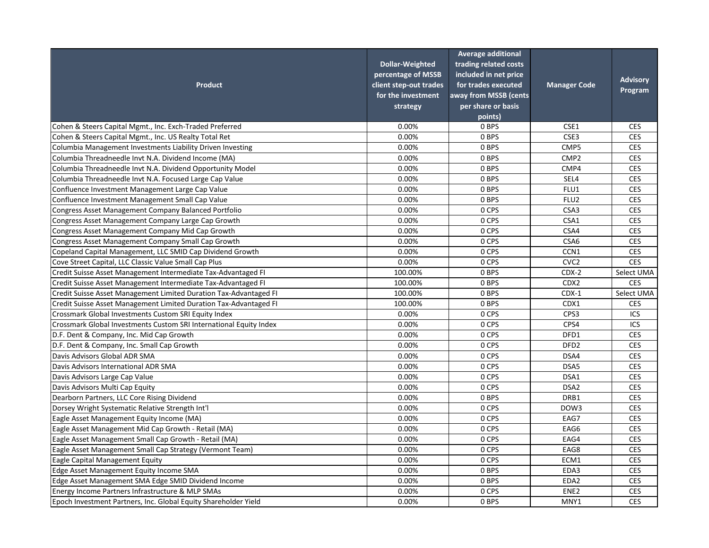|                                                                    | <b>Dollar-Weighted</b><br>percentage of MSSB | <b>Average additional</b><br>trading related costs<br>included in net price |                     |                 |
|--------------------------------------------------------------------|----------------------------------------------|-----------------------------------------------------------------------------|---------------------|-----------------|
| <b>Product</b>                                                     | client step-out trades                       | for trades executed                                                         | <b>Manager Code</b> | <b>Advisory</b> |
|                                                                    | for the investment                           | away from MSSB (cents                                                       |                     | Program         |
|                                                                    | strategy                                     | per share or basis                                                          |                     |                 |
|                                                                    |                                              | points)                                                                     |                     |                 |
| Cohen & Steers Capital Mgmt., Inc. Exch-Traded Preferred           | 0.00%                                        | 0 BPS                                                                       | CSE1                | <b>CES</b>      |
| Cohen & Steers Capital Mgmt., Inc. US Realty Total Ret             | 0.00%                                        | 0 BPS                                                                       | CSE3                | <b>CES</b>      |
| Columbia Management Investments Liability Driven Investing         | 0.00%                                        | 0 BPS                                                                       | CMP5                | <b>CES</b>      |
| Columbia Threadneedle Invt N.A. Dividend Income (MA)               | 0.00%                                        | 0 BPS                                                                       | CMP <sub>2</sub>    | <b>CES</b>      |
| Columbia Threadneedle Invt N.A. Dividend Opportunity Model         | 0.00%                                        | 0 BPS                                                                       | CMP4                | <b>CES</b>      |
| Columbia Threadneedle Invt N.A. Focused Large Cap Value            | 0.00%                                        | 0 BPS                                                                       | SEL4                | <b>CES</b>      |
| Confluence Investment Management Large Cap Value                   | 0.00%                                        | 0 BPS                                                                       | FLU1                | <b>CES</b>      |
| Confluence Investment Management Small Cap Value                   | 0.00%                                        | 0 BPS                                                                       | FLU <sub>2</sub>    | <b>CES</b>      |
| Congress Asset Management Company Balanced Portfolio               | 0.00%                                        | 0 CPS                                                                       | CSA3                | <b>CES</b>      |
| Congress Asset Management Company Large Cap Growth                 | 0.00%                                        | 0 CPS                                                                       | CSA1                | <b>CES</b>      |
| Congress Asset Management Company Mid Cap Growth                   | 0.00%                                        | 0 CPS                                                                       | CSA4                | <b>CES</b>      |
| Congress Asset Management Company Small Cap Growth                 | 0.00%                                        | 0 CPS                                                                       | CSA6                | <b>CES</b>      |
| Copeland Capital Management, LLC SMID Cap Dividend Growth          | 0.00%                                        | 0 CPS                                                                       | CCN1                | <b>CES</b>      |
| Cove Street Capital, LLC Classic Value Small Cap Plus              | 0.00%                                        | 0 CPS                                                                       | CVC <sub>2</sub>    | <b>CES</b>      |
| Credit Suisse Asset Management Intermediate Tax-Advantaged FI      | 100.00%                                      | 0 BPS                                                                       | $CDX-2$             | Select UMA      |
| Credit Suisse Asset Management Intermediate Tax-Advantaged FI      | 100.00%                                      | 0 BPS                                                                       | CDX2                | <b>CES</b>      |
| Credit Suisse Asset Management Limited Duration Tax-Advantaged FI  | 100.00%                                      | 0 BPS                                                                       | $CDX-1$             | Select UMA      |
| Credit Suisse Asset Management Limited Duration Tax-Advantaged FI  | 100.00%                                      | 0 BPS                                                                       | CDX1                | <b>CES</b>      |
| Crossmark Global Investments Custom SRI Equity Index               | 0.00%                                        | 0 CPS                                                                       | CPS3                | ICS             |
| Crossmark Global Investments Custom SRI International Equity Index | 0.00%                                        | 0 CPS                                                                       | CPS4                | ICS             |
| D.F. Dent & Company, Inc. Mid Cap Growth                           | 0.00%                                        | 0 CPS                                                                       | DFD1                | <b>CES</b>      |
| D.F. Dent & Company, Inc. Small Cap Growth                         | 0.00%                                        | 0 CPS                                                                       | DFD <sub>2</sub>    | <b>CES</b>      |
| Davis Advisors Global ADR SMA                                      | 0.00%                                        | 0 CPS                                                                       | DSA4                | <b>CES</b>      |
| Davis Advisors International ADR SMA                               | 0.00%                                        | 0 CPS                                                                       | DSA5                | <b>CES</b>      |
| Davis Advisors Large Cap Value                                     | 0.00%                                        | 0 CPS                                                                       | DSA1                | <b>CES</b>      |
| Davis Advisors Multi Cap Equity                                    | 0.00%                                        | 0 CPS                                                                       | DSA <sub>2</sub>    | <b>CES</b>      |
| Dearborn Partners, LLC Core Rising Dividend                        | 0.00%                                        | 0 BPS                                                                       | DRB1                | <b>CES</b>      |
| Dorsey Wright Systematic Relative Strength Int'l                   | 0.00%                                        | 0 CPS                                                                       | DOW3                | <b>CES</b>      |
| Eagle Asset Management Equity Income (MA)                          | 0.00%                                        | 0 CPS                                                                       | EAG7                | <b>CES</b>      |
| Eagle Asset Management Mid Cap Growth - Retail (MA)                | 0.00%                                        | 0 CPS                                                                       | EAG6                | <b>CES</b>      |
| Eagle Asset Management Small Cap Growth - Retail (MA)              | 0.00%                                        | 0 CPS                                                                       | EAG4                | <b>CES</b>      |
| Eagle Asset Management Small Cap Strategy (Vermont Team)           | 0.00%                                        | 0 CPS                                                                       | EAG8                | <b>CES</b>      |
| Eagle Capital Management Equity                                    | 0.00%                                        | 0 CPS                                                                       | ECM1                | <b>CES</b>      |
| Edge Asset Management Equity Income SMA                            | 0.00%                                        | 0 BPS                                                                       | EDA3                | <b>CES</b>      |
| Edge Asset Management SMA Edge SMID Dividend Income                | 0.00%                                        | 0 BPS                                                                       | EDA2                | <b>CES</b>      |
| Energy Income Partners Infrastructure & MLP SMAs                   | 0.00%                                        | 0 CPS                                                                       | ENE <sub>2</sub>    | <b>CES</b>      |
| Epoch Investment Partners, Inc. Global Equity Shareholder Yield    | 0.00%                                        | 0 BPS                                                                       | MNY1                | <b>CES</b>      |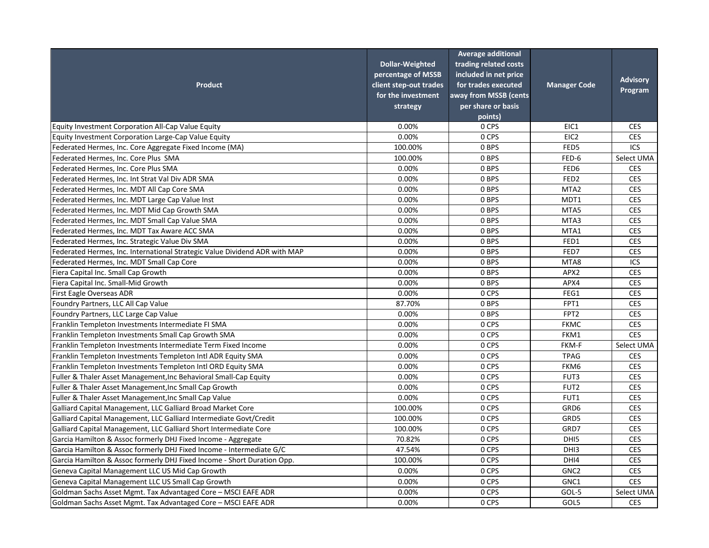| <b>Product</b>                                                             | <b>Dollar-Weighted</b><br>percentage of MSSB<br>client step-out trades<br>for the investment<br>strategy<br>0.00% | <b>Average additional</b><br>trading related costs<br>included in net price<br>for trades executed<br>away from MSSB (cents<br>per share or basis<br>points)<br>0 CPS | <b>Manager Code</b><br>EIC1 | <b>Advisory</b><br>Program |
|----------------------------------------------------------------------------|-------------------------------------------------------------------------------------------------------------------|-----------------------------------------------------------------------------------------------------------------------------------------------------------------------|-----------------------------|----------------------------|
| Equity Investment Corporation All-Cap Value Equity                         |                                                                                                                   |                                                                                                                                                                       |                             | <b>CES</b>                 |
| Equity Investment Corporation Large-Cap Value Equity                       | 0.00%                                                                                                             | 0 CPS                                                                                                                                                                 | EIC <sub>2</sub>            | <b>CES</b>                 |
| Federated Hermes, Inc. Core Aggregate Fixed Income (MA)                    | 100.00%                                                                                                           | 0 BPS                                                                                                                                                                 | FED5                        | ICS                        |
| Federated Hermes, Inc. Core Plus SMA                                       | 100.00%                                                                                                           | 0 BPS                                                                                                                                                                 | FED-6                       | Select UMA                 |
| Federated Hermes, Inc. Core Plus SMA                                       | 0.00%                                                                                                             | 0 BPS                                                                                                                                                                 | FED6                        | <b>CES</b>                 |
| Federated Hermes, Inc. Int Strat Val Div ADR SMA                           | 0.00%                                                                                                             | 0 BPS                                                                                                                                                                 | FED <sub>2</sub>            | <b>CES</b>                 |
| Federated Hermes, Inc. MDT All Cap Core SMA                                | 0.00%                                                                                                             | 0 BPS                                                                                                                                                                 | MTA <sub>2</sub>            | <b>CES</b>                 |
| Federated Hermes, Inc. MDT Large Cap Value Inst                            | 0.00%                                                                                                             | 0 BPS                                                                                                                                                                 | MDT1                        | <b>CES</b>                 |
| Federated Hermes, Inc. MDT Mid Cap Growth SMA                              | 0.00%                                                                                                             | 0 BPS                                                                                                                                                                 | MTA5                        | <b>CES</b>                 |
| Federated Hermes, Inc. MDT Small Cap Value SMA                             | 0.00%                                                                                                             | 0 BPS                                                                                                                                                                 | MTA3                        | <b>CES</b>                 |
| Federated Hermes, Inc. MDT Tax Aware ACC SMA                               | 0.00%                                                                                                             | 0 BPS                                                                                                                                                                 | MTA1                        | <b>CES</b>                 |
| Federated Hermes, Inc. Strategic Value Div SMA                             | 0.00%<br>0.00%                                                                                                    | 0 BPS                                                                                                                                                                 | FED1                        | <b>CES</b>                 |
| Federated Hermes, Inc. International Strategic Value Dividend ADR with MAP |                                                                                                                   | 0 BPS                                                                                                                                                                 | FED7                        | <b>CES</b>                 |
| Federated Hermes, Inc. MDT Small Cap Core                                  | 0.00%                                                                                                             | 0 BPS                                                                                                                                                                 | MTA8                        | ICS                        |
| Fiera Capital Inc. Small Cap Growth                                        | 0.00%                                                                                                             | 0 BPS                                                                                                                                                                 | APX2                        | <b>CES</b>                 |
| Fiera Capital Inc. Small-Mid Growth                                        | 0.00%                                                                                                             | 0 BPS                                                                                                                                                                 | APX4                        | <b>CES</b>                 |
| First Eagle Overseas ADR                                                   | 0.00%                                                                                                             | 0 CPS                                                                                                                                                                 | FEG1                        | <b>CES</b>                 |
| Foundry Partners, LLC All Cap Value                                        | 87.70%                                                                                                            | 0 BPS                                                                                                                                                                 | FPT1                        | <b>CES</b>                 |
| Foundry Partners, LLC Large Cap Value                                      | 0.00%                                                                                                             | 0 BPS                                                                                                                                                                 | FPT <sub>2</sub>            | <b>CES</b>                 |
| Franklin Templeton Investments Intermediate FI SMA                         | 0.00%                                                                                                             | 0 CPS                                                                                                                                                                 | <b>FKMC</b>                 | <b>CES</b>                 |
| Franklin Templeton Investments Small Cap Growth SMA                        | 0.00%                                                                                                             | 0 CPS                                                                                                                                                                 | FKM1                        | <b>CES</b>                 |
| Franklin Templeton Investments Intermediate Term Fixed Income              | 0.00%                                                                                                             | 0 CPS                                                                                                                                                                 | FKM-F                       | Select UMA                 |
| Franklin Templeton Investments Templeton Intl ADR Equity SMA               | 0.00%                                                                                                             | 0 CPS                                                                                                                                                                 | <b>TPAG</b>                 | <b>CES</b>                 |
| Franklin Templeton Investments Templeton Intl ORD Equity SMA               | 0.00%                                                                                                             | 0 CPS                                                                                                                                                                 | FKM6                        | <b>CES</b>                 |
| Fuller & Thaler Asset Management, Inc Behavioral Small-Cap Equity          | 0.00%                                                                                                             | 0 CPS                                                                                                                                                                 | FUT3                        | <b>CES</b>                 |
| Fuller & Thaler Asset Management, Inc Small Cap Growth                     | 0.00%                                                                                                             | 0 CPS                                                                                                                                                                 | FUT <sub>2</sub>            | <b>CES</b>                 |
| Fuller & Thaler Asset Management, Inc Small Cap Value                      | 0.00%                                                                                                             | 0 CPS                                                                                                                                                                 | FUT1                        | <b>CES</b>                 |
| Galliard Capital Management, LLC Galliard Broad Market Core                | 100.00%                                                                                                           | 0 CPS                                                                                                                                                                 | GRD6                        | <b>CES</b>                 |
| Galliard Capital Management, LLC Galliard Intermediate Govt/Credit         | 100.00%                                                                                                           | 0 CPS                                                                                                                                                                 | GRD5                        | <b>CES</b>                 |
| Galliard Capital Management, LLC Galliard Short Intermediate Core          | 100.00%                                                                                                           | 0 CPS                                                                                                                                                                 | GRD7                        | <b>CES</b>                 |
| Garcia Hamilton & Assoc formerly DHJ Fixed Income - Aggregate              | 70.82%                                                                                                            | 0 CPS                                                                                                                                                                 | DHI5                        | <b>CES</b>                 |
| Garcia Hamilton & Assoc formerly DHJ Fixed Income - Intermediate G/C       | 47.54%                                                                                                            | 0 CPS                                                                                                                                                                 | DHI3                        | <b>CES</b>                 |
| Garcia Hamilton & Assoc formerly DHJ Fixed Income - Short Duration Opp.    | 100.00%                                                                                                           | 0 CPS                                                                                                                                                                 | DHI4                        | <b>CES</b>                 |
| Geneva Capital Management LLC US Mid Cap Growth                            | 0.00%                                                                                                             | 0 CPS                                                                                                                                                                 | GNC <sub>2</sub>            | <b>CES</b>                 |
| Geneva Capital Management LLC US Small Cap Growth                          | 0.00%                                                                                                             | 0 CPS                                                                                                                                                                 | GNC1                        | <b>CES</b>                 |
| Goldman Sachs Asset Mgmt. Tax Advantaged Core - MSCI EAFE ADR              | 0.00%                                                                                                             | 0 CPS                                                                                                                                                                 | GOL-5                       | Select UMA                 |
| Goldman Sachs Asset Mgmt. Tax Advantaged Core - MSCI EAFE ADR              | 0.00%                                                                                                             | 0 CPS                                                                                                                                                                 | GOL5                        | <b>CES</b>                 |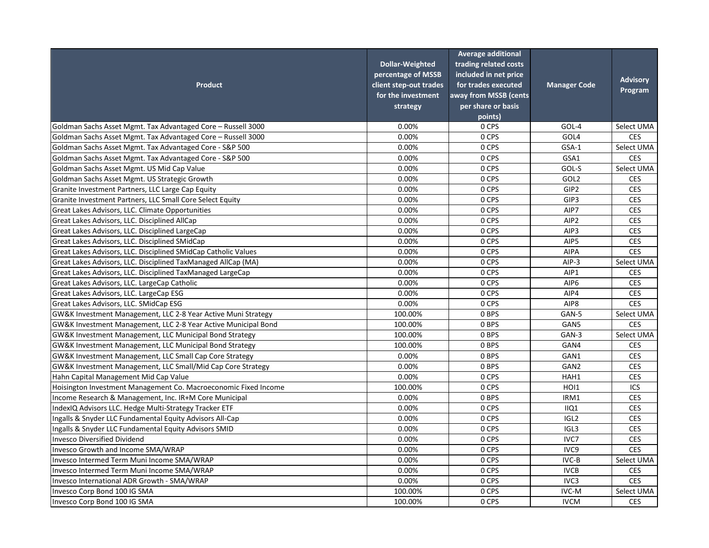|                                                                 |                        | <b>Average additional</b> |                     |                 |
|-----------------------------------------------------------------|------------------------|---------------------------|---------------------|-----------------|
|                                                                 | <b>Dollar-Weighted</b> | trading related costs     |                     |                 |
|                                                                 | percentage of MSSB     | included in net price     |                     |                 |
| <b>Product</b>                                                  | client step-out trades | for trades executed       | <b>Manager Code</b> | <b>Advisory</b> |
|                                                                 | for the investment     | away from MSSB (cents     |                     | Program         |
|                                                                 | strategy               | per share or basis        |                     |                 |
|                                                                 |                        | points)                   |                     |                 |
| Goldman Sachs Asset Mgmt. Tax Advantaged Core - Russell 3000    | 0.00%                  | 0 CPS                     | GOL-4               | Select UMA      |
| Goldman Sachs Asset Mgmt. Tax Advantaged Core - Russell 3000    | 0.00%                  | 0 CPS                     | GOL4                | <b>CES</b>      |
| Goldman Sachs Asset Mgmt. Tax Advantaged Core - S&P 500         | 0.00%                  | 0 CPS                     | GSA-1               | Select UMA      |
| Goldman Sachs Asset Mgmt. Tax Advantaged Core - S&P 500         | 0.00%                  | 0 CPS                     | GSA1                | <b>CES</b>      |
| Goldman Sachs Asset Mgmt. US Mid Cap Value                      | 0.00%                  | 0 CPS                     | GOL-S               | Select UMA      |
| Goldman Sachs Asset Mgmt. US Strategic Growth                   | 0.00%                  | 0 CPS                     | GOL <sub>2</sub>    | <b>CES</b>      |
| Granite Investment Partners, LLC Large Cap Equity               | 0.00%                  | 0 CPS                     | GIP2                | <b>CES</b>      |
| Granite Investment Partners, LLC Small Core Select Equity       | 0.00%                  | 0 CPS                     | GIP3                | <b>CES</b>      |
| Great Lakes Advisors, LLC. Climate Opportunities                | 0.00%                  | 0 CPS                     | AIP7                | <b>CES</b>      |
| Great Lakes Advisors, LLC. Disciplined AllCap                   | 0.00%                  | 0 CPS                     | AIP2                | <b>CES</b>      |
| Great Lakes Advisors, LLC. Disciplined LargeCap                 | 0.00%                  | 0 CPS                     | AIP3                | <b>CES</b>      |
| Great Lakes Advisors, LLC. Disciplined SMidCap                  | 0.00%                  | 0 CPS                     | AIP5                | <b>CES</b>      |
| Great Lakes Advisors, LLC. Disciplined SMidCap Catholic Values  | 0.00%                  | 0 CPS                     | <b>AIPA</b>         | <b>CES</b>      |
| Great Lakes Advisors, LLC. Disciplined TaxManaged AllCap (MA)   | 0.00%                  | 0 CPS                     | AIP-3               | Select UMA      |
| Great Lakes Advisors, LLC. Disciplined TaxManaged LargeCap      | 0.00%                  | 0 CPS                     | AIP1                | <b>CES</b>      |
| Great Lakes Advisors, LLC. LargeCap Catholic                    | 0.00%                  | 0 CPS                     | AIP <sub>6</sub>    | <b>CES</b>      |
| Great Lakes Advisors, LLC. LargeCap ESG                         | 0.00%                  | 0 CPS                     | AIP4                | <b>CES</b>      |
| Great Lakes Advisors, LLC. SMidCap ESG                          | 0.00%                  | 0 CPS                     | AIP8                | <b>CES</b>      |
| GW&K Investment Management, LLC 2-8 Year Active Muni Strategy   | 100.00%                | 0 BPS                     | GAN-5               | Select UMA      |
| GW&K Investment Management, LLC 2-8 Year Active Municipal Bond  | 100.00%                | 0 BPS                     | GAN5                | <b>CES</b>      |
| GW&K Investment Management, LLC Municipal Bond Strategy         | 100.00%                | 0 BPS                     | GAN-3               | Select UMA      |
| GW&K Investment Management, LLC Municipal Bond Strategy         | 100.00%                | 0 BPS                     | GAN4                | <b>CES</b>      |
| GW&K Investment Management, LLC Small Cap Core Strategy         | 0.00%                  | 0 BPS                     | GAN1                | <b>CES</b>      |
| GW&K Investment Management, LLC Small/Mid Cap Core Strategy     | 0.00%                  | 0 BPS                     | GAN <sub>2</sub>    | <b>CES</b>      |
| Hahn Capital Management Mid Cap Value                           | 0.00%                  | 0 CPS                     | HAH1                | <b>CES</b>      |
| Hoisington Investment Management Co. Macroeconomic Fixed Income | 100.00%                | 0 CPS                     | HOI1                | ICS             |
| Income Research & Management, Inc. IR+M Core Municipal          | 0.00%                  | 0 BPS                     | IRM1                | <b>CES</b>      |
| IndexIQ Advisors LLC. Hedge Multi-Strategy Tracker ETF          | 0.00%                  | 0 CPS                     | IIQ1                | <b>CES</b>      |
| Ingalls & Snyder LLC Fundamental Equity Advisors All-Cap        | 0.00%                  | 0 CPS                     | IGL <sub>2</sub>    | <b>CES</b>      |
| Ingalls & Snyder LLC Fundamental Equity Advisors SMID           | 0.00%                  | 0 CPS                     | IGL3                | <b>CES</b>      |
| Invesco Diversified Dividend                                    | 0.00%                  | 0 CPS                     | IVC7                | <b>CES</b>      |
| Invesco Growth and Income SMA/WRAP                              | 0.00%                  | 0 CPS                     | IVC <sub>9</sub>    | <b>CES</b>      |
| Invesco Intermed Term Muni Income SMA/WRAP                      | 0.00%                  | 0 CPS                     | IVC-B               | Select UMA      |
| Invesco Intermed Term Muni Income SMA/WRAP                      | 0.00%                  | 0 CPS                     | <b>IVCB</b>         | <b>CES</b>      |
| Invesco International ADR Growth - SMA/WRAP                     | 0.00%                  | 0 CPS                     | IVC3                | <b>CES</b>      |
| Invesco Corp Bond 100 IG SMA                                    | 100.00%                | 0 CPS                     | IVC-M               | Select UMA      |
| Invesco Corp Bond 100 IG SMA                                    | 100.00%                | 0 CPS                     | <b>IVCM</b>         | <b>CES</b>      |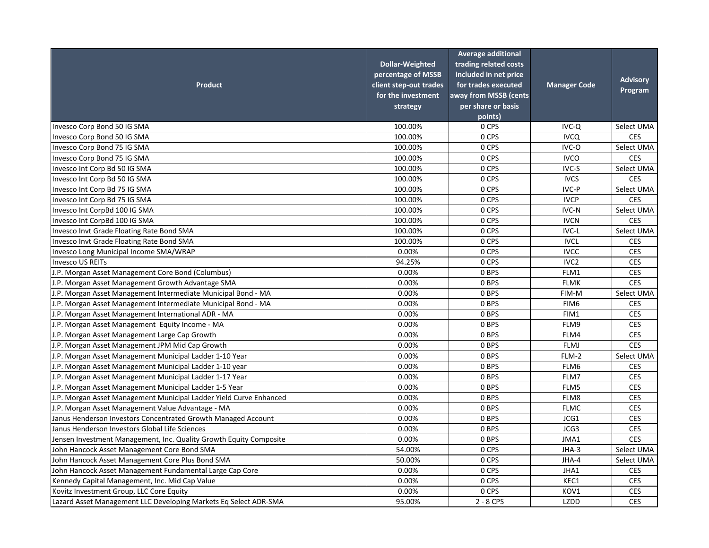| <b>Product</b>                                                     | <b>Dollar-Weighted</b><br>percentage of MSSB<br>client step-out trades<br>for the investment<br>strategy | <b>Average additional</b><br>trading related costs<br>included in net price<br>for trades executed<br>away from MSSB (cents<br>per share or basis<br>points) | <b>Manager Code</b> | <b>Advisory</b><br>Program |
|--------------------------------------------------------------------|----------------------------------------------------------------------------------------------------------|--------------------------------------------------------------------------------------------------------------------------------------------------------------|---------------------|----------------------------|
| Invesco Corp Bond 50 IG SMA                                        | 100.00%                                                                                                  | 0 CPS                                                                                                                                                        | IVC-Q               | Select UMA                 |
| Invesco Corp Bond 50 IG SMA                                        | 100.00%                                                                                                  | 0 CPS                                                                                                                                                        | <b>IVCQ</b>         | <b>CES</b>                 |
| Invesco Corp Bond 75 IG SMA                                        | 100.00%                                                                                                  | 0 CPS                                                                                                                                                        | IVC-O               | Select UMA                 |
| Invesco Corp Bond 75 IG SMA                                        | 100.00%                                                                                                  | 0 CPS                                                                                                                                                        | <b>IVCO</b>         | <b>CES</b>                 |
| Invesco Int Corp Bd 50 IG SMA                                      | 100.00%                                                                                                  | 0 CPS                                                                                                                                                        | IVC-S               | Select UMA                 |
| Invesco Int Corp Bd 50 IG SMA                                      | 100.00%                                                                                                  | 0 CPS                                                                                                                                                        | <b>IVCS</b>         | <b>CES</b>                 |
| Invesco Int Corp Bd 75 IG SMA                                      | 100.00%                                                                                                  | 0 CPS                                                                                                                                                        | IVC-P               | Select UMA                 |
| Invesco Int Corp Bd 75 IG SMA                                      | 100.00%                                                                                                  | 0 CPS                                                                                                                                                        | <b>IVCP</b>         | <b>CES</b>                 |
| Invesco Int CorpBd 100 IG SMA                                      | 100.00%                                                                                                  | 0 CPS                                                                                                                                                        | IVC-N               | Select UMA                 |
| Invesco Int CorpBd 100 IG SMA                                      | 100.00%                                                                                                  | 0 CPS                                                                                                                                                        | <b>IVCN</b>         | <b>CES</b>                 |
| Invesco Invt Grade Floating Rate Bond SMA                          | 100.00%                                                                                                  | 0 CPS                                                                                                                                                        | IVC-L               | Select UMA                 |
| Invesco Invt Grade Floating Rate Bond SMA                          | 100.00%                                                                                                  | 0 CPS                                                                                                                                                        | <b>IVCL</b>         | <b>CES</b>                 |
| Invesco Long Municipal Income SMA/WRAP                             | 0.00%                                                                                                    | 0 CPS                                                                                                                                                        | <b>IVCC</b>         | <b>CES</b>                 |
| Invesco US REITs                                                   | 94.25%                                                                                                   | 0 CPS                                                                                                                                                        | IVC <sub>2</sub>    | <b>CES</b>                 |
| J.P. Morgan Asset Management Core Bond (Columbus)                  | 0.00%                                                                                                    | 0 BPS                                                                                                                                                        | FLM1                | <b>CES</b>                 |
| J.P. Morgan Asset Management Growth Advantage SMA                  | 0.00%                                                                                                    | 0 BPS                                                                                                                                                        | <b>FLMK</b>         | <b>CES</b>                 |
| J.P. Morgan Asset Management Intermediate Municipal Bond - MA      | 0.00%                                                                                                    | 0 BPS                                                                                                                                                        | FIM-M               | Select UMA                 |
| J.P. Morgan Asset Management Intermediate Municipal Bond - MA      | 0.00%                                                                                                    | 0 BPS                                                                                                                                                        | FIM6                | <b>CES</b>                 |
| J.P. Morgan Asset Management International ADR - MA                | 0.00%                                                                                                    | 0 BPS                                                                                                                                                        | FIM1                | <b>CES</b>                 |
| J.P. Morgan Asset Management Equity Income - MA                    | 0.00%                                                                                                    | 0 BPS                                                                                                                                                        | FLM9                | <b>CES</b>                 |
| J.P. Morgan Asset Management Large Cap Growth                      | 0.00%                                                                                                    | 0 BPS                                                                                                                                                        | FLM4                | <b>CES</b>                 |
| J.P. Morgan Asset Management JPM Mid Cap Growth                    | 0.00%                                                                                                    | 0 BPS                                                                                                                                                        | <b>FLMJ</b>         | <b>CES</b>                 |
| J.P. Morgan Asset Management Municipal Ladder 1-10 Year            | 0.00%                                                                                                    | 0 BPS                                                                                                                                                        | FLM-2               | Select UMA                 |
| J.P. Morgan Asset Management Municipal Ladder 1-10 year            | 0.00%                                                                                                    | 0 BPS                                                                                                                                                        | FLM6                | <b>CES</b>                 |
| J.P. Morgan Asset Management Municipal Ladder 1-17 Year            | 0.00%                                                                                                    | 0 BPS                                                                                                                                                        | FLM7                | <b>CES</b>                 |
| J.P. Morgan Asset Management Municipal Ladder 1-5 Year             | 0.00%                                                                                                    | 0 BPS                                                                                                                                                        | FLM5                | <b>CES</b>                 |
| J.P. Morgan Asset Management Municipal Ladder Yield Curve Enhanced | 0.00%                                                                                                    | 0 BPS                                                                                                                                                        | FLM8                | <b>CES</b>                 |
| J.P. Morgan Asset Management Value Advantage - MA                  | 0.00%                                                                                                    | 0 BPS                                                                                                                                                        | <b>FLMC</b>         | <b>CES</b>                 |
| Janus Henderson Investors Concentrated Growth Managed Account      | 0.00%                                                                                                    | 0 BPS                                                                                                                                                        | JCG1                | <b>CES</b>                 |
| Janus Henderson Investors Global Life Sciences                     | 0.00%                                                                                                    | 0 BPS                                                                                                                                                        | JCG3                | <b>CES</b>                 |
| Jensen Investment Management, Inc. Quality Growth Equity Composite | 0.00%                                                                                                    | 0 BPS                                                                                                                                                        | JMA1                | <b>CES</b>                 |
| John Hancock Asset Management Core Bond SMA                        | 54.00%                                                                                                   | 0 CPS                                                                                                                                                        | JHA-3               | Select UMA                 |
| John Hancock Asset Management Core Plus Bond SMA                   | 50.00%                                                                                                   | 0 CPS                                                                                                                                                        | JHA-4               | Select UMA                 |
| John Hancock Asset Management Fundamental Large Cap Core           | 0.00%                                                                                                    | 0 CPS                                                                                                                                                        | JHA1                | <b>CES</b>                 |
| Kennedy Capital Management, Inc. Mid Cap Value                     | 0.00%                                                                                                    | 0 CPS                                                                                                                                                        | KEC1                | <b>CES</b>                 |
| Kovitz Investment Group, LLC Core Equity                           | 0.00%                                                                                                    | 0 CPS                                                                                                                                                        | KOV1                | <b>CES</b>                 |
| Lazard Asset Management LLC Developing Markets Eq Select ADR-SMA   | 95.00%                                                                                                   | $2 - 8$ CPS                                                                                                                                                  | LZDD                | <b>CES</b>                 |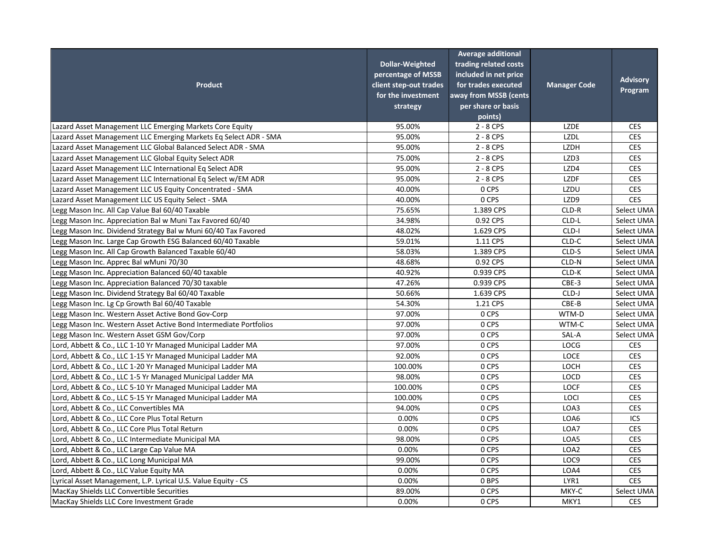| <b>Product</b>                                                    | <b>Dollar-Weighted</b><br>percentage of MSSB<br>client step-out trades<br>for the investment<br>strategy | <b>Average additional</b><br>trading related costs<br>included in net price<br>for trades executed<br>away from MSSB (cents<br>per share or basis<br>points) | <b>Manager Code</b> | <b>Advisory</b><br>Program |
|-------------------------------------------------------------------|----------------------------------------------------------------------------------------------------------|--------------------------------------------------------------------------------------------------------------------------------------------------------------|---------------------|----------------------------|
| Lazard Asset Management LLC Emerging Markets Core Equity          | 95.00%                                                                                                   | $2 - 8$ CPS                                                                                                                                                  | <b>LZDE</b>         | <b>CES</b>                 |
| Lazard Asset Management LLC Emerging Markets Eq Select ADR - SMA  | 95.00%                                                                                                   | $2 - 8$ CPS                                                                                                                                                  | <b>LZDL</b>         | <b>CES</b>                 |
| Lazard Asset Management LLC Global Balanced Select ADR - SMA      | 95.00%                                                                                                   | 2 - 8 CPS                                                                                                                                                    | <b>LZDH</b>         | <b>CES</b>                 |
| Lazard Asset Management LLC Global Equity Select ADR              | 75.00%                                                                                                   | $2 - 8$ CPS                                                                                                                                                  | LZD3                | <b>CES</b>                 |
| Lazard Asset Management LLC International Eq Select ADR           | 95.00%                                                                                                   | $2 - 8$ CPS                                                                                                                                                  | LZD4                | <b>CES</b>                 |
| Lazard Asset Management LLC International Eq Select w/EM ADR      | 95.00%                                                                                                   | $2 - 8$ CPS                                                                                                                                                  | <b>LZDF</b>         | <b>CES</b>                 |
| Lazard Asset Management LLC US Equity Concentrated - SMA          | 40.00%                                                                                                   | 0 CPS                                                                                                                                                        | LZDU                | <b>CES</b>                 |
| Lazard Asset Management LLC US Equity Select - SMA                | 40.00%                                                                                                   | 0 CPS                                                                                                                                                        | LZD9                | <b>CES</b>                 |
| Legg Mason Inc. All Cap Value Bal 60/40 Taxable                   | 75.65%                                                                                                   | 1.389 CPS                                                                                                                                                    | CLD-R               | Select UMA                 |
| Legg Mason Inc. Appreciation Bal w Muni Tax Favored 60/40         | 34.98%                                                                                                   | 0.92 CPS                                                                                                                                                     | CLD-L               | Select UMA                 |
| Legg Mason Inc. Dividend Strategy Bal w Muni 60/40 Tax Favored    | 48.02%                                                                                                   | 1.629 CPS                                                                                                                                                    | CLD-I               | Select UMA                 |
| Legg Mason Inc. Large Cap Growth ESG Balanced 60/40 Taxable       | 59.01%                                                                                                   | 1.11 CPS                                                                                                                                                     | CLD-C               | Select UMA                 |
| Legg Mason Inc. All Cap Growth Balanced Taxable 60/40             | 58.03%                                                                                                   | 1.389 CPS                                                                                                                                                    | CLD-S               | Select UMA                 |
| Legg Mason Inc. Apprec Bal wMuni 70/30                            | 48.68%                                                                                                   | 0.92 CPS                                                                                                                                                     | CLD-N               | Select UMA                 |
| Legg Mason Inc. Appreciation Balanced 60/40 taxable               | 40.92%                                                                                                   | 0.939 CPS                                                                                                                                                    | CLD-K               | Select UMA                 |
| Legg Mason Inc. Appreciation Balanced 70/30 taxable               | 47.26%                                                                                                   | 0.939 CPS                                                                                                                                                    | CBE-3               | Select UMA                 |
| Legg Mason Inc. Dividend Strategy Bal 60/40 Taxable               | 50.66%                                                                                                   | 1.639 CPS                                                                                                                                                    | CLD-J               | Select UMA                 |
| Legg Mason Inc. Lg Cp Growth Bal 60/40 Taxable                    | 54.30%                                                                                                   | 1.21 CPS                                                                                                                                                     | CBE-B               | Select UMA                 |
| Legg Mason Inc. Western Asset Active Bond Gov-Corp                | 97.00%                                                                                                   | 0 CPS                                                                                                                                                        | WTM-D               | Select UMA                 |
| Legg Mason Inc. Western Asset Active Bond Intermediate Portfolios | 97.00%                                                                                                   | 0 CPS                                                                                                                                                        | WTM-C               | Select UMA                 |
| Legg Mason Inc. Western Asset GSM Gov/Corp                        | 97.00%                                                                                                   | 0 CPS                                                                                                                                                        | SAL-A               | Select UMA                 |
| Lord, Abbett & Co., LLC 1-10 Yr Managed Municipal Ladder MA       | 97.00%                                                                                                   | 0 CPS                                                                                                                                                        | <b>LOCG</b>         | <b>CES</b>                 |
| Lord, Abbett & Co., LLC 1-15 Yr Managed Municipal Ladder MA       | 92.00%                                                                                                   | 0 CPS                                                                                                                                                        | <b>LOCE</b>         | <b>CES</b>                 |
| Lord, Abbett & Co., LLC 1-20 Yr Managed Municipal Ladder MA       | 100.00%                                                                                                  | 0 CPS                                                                                                                                                        | LOCH                | <b>CES</b>                 |
| Lord, Abbett & Co., LLC 1-5 Yr Managed Municipal Ladder MA        | 98.00%                                                                                                   | 0 CPS                                                                                                                                                        | <b>LOCD</b>         | <b>CES</b>                 |
| Lord, Abbett & Co., LLC 5-10 Yr Managed Municipal Ladder MA       | 100.00%                                                                                                  | 0 CPS                                                                                                                                                        | <b>LOCF</b>         | <b>CES</b>                 |
| Lord, Abbett & Co., LLC 5-15 Yr Managed Municipal Ladder MA       | 100.00%                                                                                                  | 0 CPS                                                                                                                                                        | LOCI                | <b>CES</b>                 |
| Lord, Abbett & Co., LLC Convertibles MA                           | 94.00%                                                                                                   | 0 CPS                                                                                                                                                        | LOA3                | <b>CES</b>                 |
| Lord, Abbett & Co., LLC Core Plus Total Return                    | 0.00%                                                                                                    | 0 CPS                                                                                                                                                        | LOA6                | ICS                        |
| Lord, Abbett & Co., LLC Core Plus Total Return                    | 0.00%                                                                                                    | 0 CPS                                                                                                                                                        | LOA7                | <b>CES</b>                 |
| Lord, Abbett & Co., LLC Intermediate Municipal MA                 | 98.00%                                                                                                   | 0 CPS                                                                                                                                                        | LOA5                | <b>CES</b>                 |
| Lord, Abbett & Co., LLC Large Cap Value MA                        | 0.00%                                                                                                    | 0 CPS                                                                                                                                                        | LOA2                | <b>CES</b>                 |
| Lord, Abbett & Co., LLC Long Municipal MA                         | 99.00%                                                                                                   | 0 CPS                                                                                                                                                        | LOC9                | <b>CES</b>                 |
| Lord, Abbett & Co., LLC Value Equity MA                           | 0.00%                                                                                                    | 0 CPS                                                                                                                                                        | LOA4                | <b>CES</b>                 |
| Lyrical Asset Management, L.P. Lyrical U.S. Value Equity - CS     | 0.00%                                                                                                    | 0 BPS                                                                                                                                                        | LYR1                | <b>CES</b>                 |
| MacKay Shields LLC Convertible Securities                         | 89.00%                                                                                                   | 0 CPS                                                                                                                                                        | MKY-C               | Select UMA                 |
| MacKay Shields LLC Core Investment Grade                          | 0.00%                                                                                                    | 0 CPS                                                                                                                                                        | MKY1                | <b>CES</b>                 |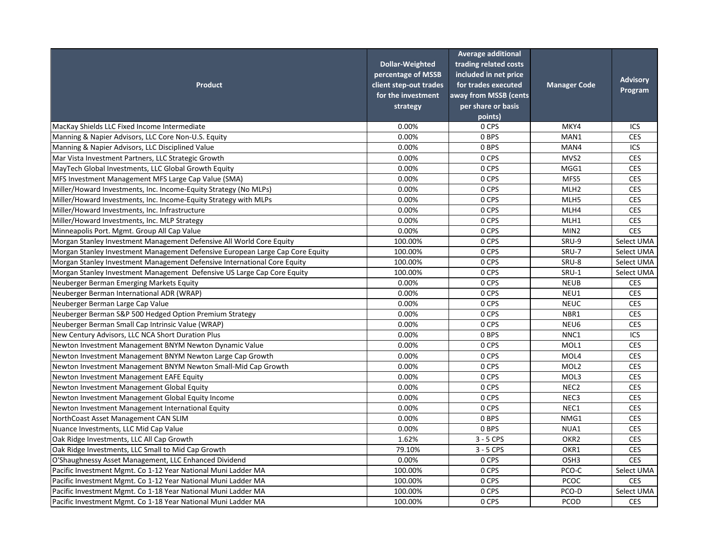| <b>Product</b>                                                                | <b>Dollar-Weighted</b><br>percentage of MSSB<br>client step-out trades<br>for the investment<br>strategy | <b>Average additional</b><br>trading related costs<br>included in net price<br>for trades executed<br>away from MSSB (cents<br>per share or basis<br>points) | <b>Manager Code</b> | <b>Advisory</b><br>Program |
|-------------------------------------------------------------------------------|----------------------------------------------------------------------------------------------------------|--------------------------------------------------------------------------------------------------------------------------------------------------------------|---------------------|----------------------------|
| MacKay Shields LLC Fixed Income Intermediate                                  | 0.00%                                                                                                    | 0 CPS                                                                                                                                                        | MKY4                | ICS                        |
| Manning & Napier Advisors, LLC Core Non-U.S. Equity                           | 0.00%                                                                                                    | 0 BPS                                                                                                                                                        | MAN1                | <b>CES</b>                 |
| Manning & Napier Advisors, LLC Disciplined Value                              | 0.00%                                                                                                    | 0 BPS                                                                                                                                                        | MAN4                | ICS                        |
| Mar Vista Investment Partners, LLC Strategic Growth                           | 0.00%                                                                                                    | 0 CPS                                                                                                                                                        | MVS2                | <b>CES</b>                 |
| MayTech Global Investments, LLC Global Growth Equity                          | 0.00%                                                                                                    | 0 CPS                                                                                                                                                        | MGG1                | <b>CES</b>                 |
| MFS Investment Management MFS Large Cap Value (SMA)                           | 0.00%                                                                                                    | 0 CPS                                                                                                                                                        | MFS5                | <b>CES</b>                 |
| Miller/Howard Investments, Inc. Income-Equity Strategy (No MLPs)              | 0.00%                                                                                                    | 0 CPS                                                                                                                                                        | MLH <sub>2</sub>    | <b>CES</b>                 |
| Miller/Howard Investments, Inc. Income-Equity Strategy with MLPs              | 0.00%                                                                                                    | 0 CPS                                                                                                                                                        | MLH5                | <b>CES</b>                 |
| Miller/Howard Investments, Inc. Infrastructure                                | 0.00%                                                                                                    | 0 CPS                                                                                                                                                        | MLH4                | <b>CES</b>                 |
| Miller/Howard Investments, Inc. MLP Strategy                                  | 0.00%                                                                                                    | 0 CPS                                                                                                                                                        | MLH1                | <b>CES</b>                 |
| Minneapolis Port. Mgmt. Group All Cap Value                                   | 0.00%                                                                                                    | 0 CPS                                                                                                                                                        | MIN2                | <b>CES</b>                 |
| Morgan Stanley Investment Management Defensive All World Core Equity          | 100.00%                                                                                                  | 0 CPS                                                                                                                                                        | SRU-9               | Select UMA                 |
| Morgan Stanley Investment Management Defensive European Large Cap Core Equity | 100.00%                                                                                                  | 0 CPS                                                                                                                                                        | SRU-7               | Select UMA                 |
| Morgan Stanley Investment Management Defensive International Core Equity      | 100.00%                                                                                                  | 0 CPS                                                                                                                                                        | SRU-8               | Select UMA                 |
| Morgan Stanley Investment Management Defensive US Large Cap Core Equity       | 100.00%                                                                                                  | 0 CPS                                                                                                                                                        | SRU-1               | Select UMA                 |
| Neuberger Berman Emerging Markets Equity                                      | 0.00%                                                                                                    | 0 CPS                                                                                                                                                        | <b>NEUB</b>         | <b>CES</b>                 |
| Neuberger Berman International ADR (WRAP)                                     | 0.00%                                                                                                    | 0 CPS                                                                                                                                                        | NEU1                | <b>CES</b>                 |
| Neuberger Berman Large Cap Value                                              | 0.00%                                                                                                    | 0 CPS                                                                                                                                                        | <b>NEUC</b>         | <b>CES</b>                 |
| Neuberger Berman S&P 500 Hedged Option Premium Strategy                       | 0.00%                                                                                                    | 0 CPS                                                                                                                                                        | NBR1                | <b>CES</b>                 |
| Neuberger Berman Small Cap Intrinsic Value (WRAP)                             | 0.00%                                                                                                    | 0 CPS                                                                                                                                                        | NEU6                | <b>CES</b>                 |
| New Century Advisors, LLC NCA Short Duration Plus                             | 0.00%                                                                                                    | 0 BPS                                                                                                                                                        | NNC1                | ICS                        |
| Newton Investment Management BNYM Newton Dynamic Value                        | 0.00%                                                                                                    | 0 CPS                                                                                                                                                        | MOL1                | <b>CES</b>                 |
| Newton Investment Management BNYM Newton Large Cap Growth                     | 0.00%                                                                                                    | 0 CPS                                                                                                                                                        | MOL4                | <b>CES</b>                 |
| Newton Investment Management BNYM Newton Small-Mid Cap Growth                 | 0.00%                                                                                                    | 0 CPS                                                                                                                                                        | MOL <sub>2</sub>    | <b>CES</b>                 |
| Newton Investment Management EAFE Equity                                      | 0.00%                                                                                                    | 0 CPS                                                                                                                                                        | MOL3                | <b>CES</b>                 |
| Newton Investment Management Global Equity                                    | 0.00%                                                                                                    | 0 CPS                                                                                                                                                        | NEC <sub>2</sub>    | <b>CES</b>                 |
| Newton Investment Management Global Equity Income                             | 0.00%                                                                                                    | 0 CPS                                                                                                                                                        | NEC <sub>3</sub>    | <b>CES</b>                 |
| Newton Investment Management International Equity                             | 0.00%                                                                                                    | 0 CPS                                                                                                                                                        | NEC1                | <b>CES</b>                 |
| NorthCoast Asset Management CAN SLIM                                          | 0.00%                                                                                                    | 0 BPS                                                                                                                                                        | NMG1                | <b>CES</b>                 |
| Nuance Investments, LLC Mid Cap Value                                         | 0.00%                                                                                                    | 0 BPS                                                                                                                                                        | NUA1                | <b>CES</b>                 |
| Oak Ridge Investments, LLC All Cap Growth                                     | 1.62%                                                                                                    | $3 - 5$ CPS                                                                                                                                                  | OKR <sub>2</sub>    | <b>CES</b>                 |
| Oak Ridge Investments, LLC Small to Mid Cap Growth                            | 79.10%                                                                                                   | $3 - 5$ CPS                                                                                                                                                  | OKR1                | <b>CES</b>                 |
| O'Shaughnessy Asset Management, LLC Enhanced Dividend                         | 0.00%                                                                                                    | 0 CPS                                                                                                                                                        | OSH <sub>3</sub>    | <b>CES</b>                 |
| Pacific Investment Mgmt. Co 1-12 Year National Muni Ladder MA                 | 100.00%                                                                                                  | 0 CPS                                                                                                                                                        | PCO-C               | Select UMA                 |
| Pacific Investment Mgmt. Co 1-12 Year National Muni Ladder MA                 | 100.00%                                                                                                  | 0 CPS                                                                                                                                                        | <b>PCOC</b>         | <b>CES</b>                 |
| Pacific Investment Mgmt. Co 1-18 Year National Muni Ladder MA                 | 100.00%                                                                                                  | 0 CPS                                                                                                                                                        | PCO-D               | Select UMA                 |
| Pacific Investment Mgmt. Co 1-18 Year National Muni Ladder MA                 | 100.00%                                                                                                  | 0 CPS                                                                                                                                                        | <b>PCOD</b>         | <b>CES</b>                 |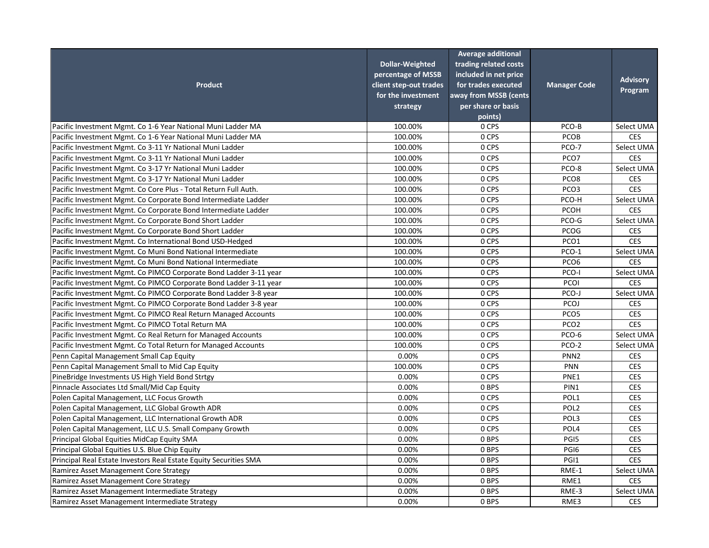| <b>Product</b>                                                    | <b>Dollar-Weighted</b><br>percentage of MSSB<br>client step-out trades<br>for the investment<br>strategy | <b>Average additional</b><br>trading related costs<br>included in net price<br>for trades executed<br>away from MSSB (cents<br>per share or basis<br>points) | <b>Manager Code</b> | <b>Advisory</b><br>Program |
|-------------------------------------------------------------------|----------------------------------------------------------------------------------------------------------|--------------------------------------------------------------------------------------------------------------------------------------------------------------|---------------------|----------------------------|
| Pacific Investment Mgmt. Co 1-6 Year National Muni Ladder MA      | 100.00%                                                                                                  | 0 CPS                                                                                                                                                        | PCO-B               | Select UMA                 |
| Pacific Investment Mgmt. Co 1-6 Year National Muni Ladder MA      | 100.00%                                                                                                  | 0 CPS                                                                                                                                                        | <b>PCOB</b>         | <b>CES</b>                 |
| Pacific Investment Mgmt. Co 3-11 Yr National Muni Ladder          | 100.00%                                                                                                  | 0 CPS                                                                                                                                                        | PCO-7               | Select UMA                 |
| Pacific Investment Mgmt. Co 3-11 Yr National Muni Ladder          | 100.00%                                                                                                  | 0 CPS                                                                                                                                                        | PCO7                | <b>CES</b>                 |
| Pacific Investment Mgmt. Co 3-17 Yr National Muni Ladder          | 100.00%                                                                                                  | 0 CPS                                                                                                                                                        | PCO-8               | Select UMA                 |
| Pacific Investment Mgmt. Co 3-17 Yr National Muni Ladder          | 100.00%                                                                                                  | 0 CPS                                                                                                                                                        | PCO <sub>8</sub>    | <b>CES</b>                 |
| Pacific Investment Mgmt. Co Core Plus - Total Return Full Auth.   | 100.00%                                                                                                  | 0 CPS                                                                                                                                                        | PCO <sub>3</sub>    | <b>CES</b>                 |
| Pacific Investment Mgmt. Co Corporate Bond Intermediate Ladder    | 100.00%                                                                                                  | 0 CPS                                                                                                                                                        | PCO-H               | Select UMA                 |
| Pacific Investment Mgmt. Co Corporate Bond Intermediate Ladder    | 100.00%                                                                                                  | 0 CPS                                                                                                                                                        | <b>PCOH</b>         | <b>CES</b>                 |
| Pacific Investment Mgmt. Co Corporate Bond Short Ladder           | 100.00%                                                                                                  | 0 CPS                                                                                                                                                        | PCO-G               | Select UMA                 |
| Pacific Investment Mgmt. Co Corporate Bond Short Ladder           | 100.00%                                                                                                  | 0 CPS                                                                                                                                                        | PCOG                | <b>CES</b>                 |
| Pacific Investment Mgmt. Co International Bond USD-Hedged         | 100.00%                                                                                                  | 0 CPS                                                                                                                                                        | PCO1                | <b>CES</b>                 |
| Pacific Investment Mgmt. Co Muni Bond National Intermediate       | 100.00%                                                                                                  | 0 CPS                                                                                                                                                        | PCO-1               | Select UMA                 |
| Pacific Investment Mgmt. Co Muni Bond National Intermediate       | 100.00%                                                                                                  | 0 CPS                                                                                                                                                        | PCO <sub>6</sub>    | <b>CES</b>                 |
| Pacific Investment Mgmt. Co PIMCO Corporate Bond Ladder 3-11 year | 100.00%                                                                                                  | 0 CPS                                                                                                                                                        | PCO-I               | Select UMA                 |
| Pacific Investment Mgmt. Co PIMCO Corporate Bond Ladder 3-11 year | 100.00%                                                                                                  | 0 CPS                                                                                                                                                        | <b>PCOI</b>         | <b>CES</b>                 |
| Pacific Investment Mgmt. Co PIMCO Corporate Bond Ladder 3-8 year  | 100.00%                                                                                                  | 0 CPS                                                                                                                                                        | PCO-J               | Select UMA                 |
| Pacific Investment Mgmt. Co PIMCO Corporate Bond Ladder 3-8 year  | 100.00%                                                                                                  | 0 CPS                                                                                                                                                        | PCOJ                | <b>CES</b>                 |
| Pacific Investment Mgmt. Co PIMCO Real Return Managed Accounts    | 100.00%                                                                                                  | 0 CPS                                                                                                                                                        | PCO <sub>5</sub>    | <b>CES</b>                 |
| Pacific Investment Mgmt. Co PIMCO Total Return MA                 | 100.00%                                                                                                  | 0 CPS                                                                                                                                                        | PCO <sub>2</sub>    | <b>CES</b>                 |
| Pacific Investment Mgmt. Co Real Return for Managed Accounts      | 100.00%                                                                                                  | 0 CPS                                                                                                                                                        | PCO-6               | Select UMA                 |
| Pacific Investment Mgmt. Co Total Return for Managed Accounts     | 100.00%                                                                                                  | 0 CPS                                                                                                                                                        | PCO-2               | Select UMA                 |
| Penn Capital Management Small Cap Equity                          | 0.00%                                                                                                    | 0 CPS                                                                                                                                                        | PNN <sub>2</sub>    | <b>CES</b>                 |
| Penn Capital Management Small to Mid Cap Equity                   | 100.00%                                                                                                  | 0 CPS                                                                                                                                                        | <b>PNN</b>          | <b>CES</b>                 |
| PineBridge Investments US High Yield Bond Strtgy                  | 0.00%                                                                                                    | 0 CPS                                                                                                                                                        | PNE1                | <b>CES</b>                 |
| Pinnacle Associates Ltd Small/Mid Cap Equity                      | 0.00%                                                                                                    | 0 BPS                                                                                                                                                        | PIN1                | <b>CES</b>                 |
| Polen Capital Management, LLC Focus Growth                        | 0.00%                                                                                                    | 0 CPS                                                                                                                                                        | POL1                | <b>CES</b>                 |
| Polen Capital Management, LLC Global Growth ADR                   | 0.00%                                                                                                    | 0 CPS                                                                                                                                                        | POL <sub>2</sub>    | <b>CES</b>                 |
| Polen Capital Management, LLC International Growth ADR            | 0.00%                                                                                                    | 0 CPS                                                                                                                                                        | POL3                | <b>CES</b>                 |
| Polen Capital Management, LLC U.S. Small Company Growth           | 0.00%                                                                                                    | 0 CPS                                                                                                                                                        | POL4                | <b>CES</b>                 |
| Principal Global Equities MidCap Equity SMA                       | 0.00%                                                                                                    | 0 BPS                                                                                                                                                        | PGI5                | <b>CES</b>                 |
| Principal Global Equities U.S. Blue Chip Equity                   | 0.00%                                                                                                    | 0 BPS                                                                                                                                                        | PGI6                | <b>CES</b>                 |
| Principal Real Estate Investors Real Estate Equity Securities SMA | 0.00%                                                                                                    | 0 BPS                                                                                                                                                        | PGI1                | <b>CES</b>                 |
| Ramirez Asset Management Core Strategy                            | 0.00%                                                                                                    | 0 BPS                                                                                                                                                        | RME-1               | Select UMA                 |
| Ramirez Asset Management Core Strategy                            | 0.00%                                                                                                    | 0 BPS                                                                                                                                                        | RME1                | <b>CES</b>                 |
| Ramirez Asset Management Intermediate Strategy                    | 0.00%                                                                                                    | 0 BPS                                                                                                                                                        | RME-3               | Select UMA                 |
| Ramirez Asset Management Intermediate Strategy                    | 0.00%                                                                                                    | 0 BPS                                                                                                                                                        | RME3                | <b>CES</b>                 |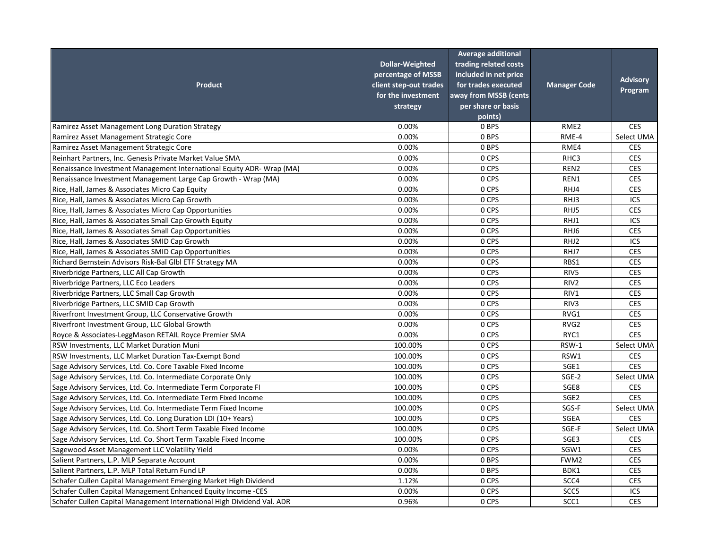| <b>Product</b>                                                         | <b>Dollar-Weighted</b><br>percentage of MSSB<br>client step-out trades<br>for the investment<br>strategy | <b>Average additional</b><br>trading related costs<br>included in net price<br>for trades executed<br>away from MSSB (cents<br>per share or basis | <b>Manager Code</b> | <b>Advisory</b><br>Program |
|------------------------------------------------------------------------|----------------------------------------------------------------------------------------------------------|---------------------------------------------------------------------------------------------------------------------------------------------------|---------------------|----------------------------|
|                                                                        |                                                                                                          | points)                                                                                                                                           |                     |                            |
| Ramirez Asset Management Long Duration Strategy                        | 0.00%                                                                                                    | 0 BPS                                                                                                                                             | RME <sub>2</sub>    | <b>CES</b>                 |
| Ramirez Asset Management Strategic Core                                | 0.00%                                                                                                    | 0 BPS                                                                                                                                             | RME-4               | Select UMA                 |
| Ramirez Asset Management Strategic Core                                | 0.00%                                                                                                    | 0 BPS                                                                                                                                             | RME4                | <b>CES</b>                 |
| Reinhart Partners, Inc. Genesis Private Market Value SMA               | 0.00%                                                                                                    | 0 CPS                                                                                                                                             | RHC3                | <b>CES</b>                 |
| Renaissance Investment Management International Equity ADR-Wrap (MA)   | 0.00%                                                                                                    | 0 CPS                                                                                                                                             | REN <sub>2</sub>    | <b>CES</b>                 |
| Renaissance Investment Management Large Cap Growth - Wrap (MA)         | 0.00%                                                                                                    | 0 CPS                                                                                                                                             | REN1                | <b>CES</b>                 |
| Rice, Hall, James & Associates Micro Cap Equity                        | 0.00%                                                                                                    | 0 CPS                                                                                                                                             | RHJ4                | <b>CES</b>                 |
| Rice, Hall, James & Associates Micro Cap Growth                        | 0.00%                                                                                                    | 0 CPS                                                                                                                                             | RHJ3                | ICS                        |
| Rice, Hall, James & Associates Micro Cap Opportunities                 | 0.00%                                                                                                    | 0 CPS                                                                                                                                             | RHJ5                | <b>CES</b>                 |
| Rice, Hall, James & Associates Small Cap Growth Equity                 | 0.00%                                                                                                    | 0 CPS                                                                                                                                             | RHJ1                | ICS                        |
| Rice, Hall, James & Associates Small Cap Opportunities                 | 0.00%                                                                                                    | 0 CPS                                                                                                                                             | RHJ6                | <b>CES</b>                 |
| Rice, Hall, James & Associates SMID Cap Growth                         | 0.00%                                                                                                    | 0 CPS                                                                                                                                             | RHJ2                | ICS                        |
| Rice, Hall, James & Associates SMID Cap Opportunities                  | 0.00%                                                                                                    | 0 CPS                                                                                                                                             | RHJ7                | <b>CES</b>                 |
| Richard Bernstein Advisors Risk-Bal Glbl ETF Strategy MA               | 0.00%                                                                                                    | 0 CPS                                                                                                                                             | RBS1                | <b>CES</b>                 |
| Riverbridge Partners, LLC All Cap Growth                               | 0.00%                                                                                                    | 0 CPS                                                                                                                                             | RIV5                | <b>CES</b>                 |
| Riverbridge Partners, LLC Eco Leaders                                  | 0.00%                                                                                                    | 0 CPS                                                                                                                                             | RIV <sub>2</sub>    | <b>CES</b>                 |
| Riverbridge Partners, LLC Small Cap Growth                             | 0.00%                                                                                                    | 0 CPS                                                                                                                                             | RIV1                | <b>CES</b>                 |
| Riverbridge Partners, LLC SMID Cap Growth                              | 0.00%                                                                                                    | 0 CPS                                                                                                                                             | RIV3                | <b>CES</b>                 |
| Riverfront Investment Group, LLC Conservative Growth                   | 0.00%                                                                                                    | 0 CPS                                                                                                                                             | RVG1                | <b>CES</b>                 |
| Riverfront Investment Group, LLC Global Growth                         | 0.00%                                                                                                    | 0 CPS                                                                                                                                             | RVG <sub>2</sub>    | <b>CES</b>                 |
| Royce & Associates-LeggMason RETAIL Royce Premier SMA                  | 0.00%                                                                                                    | 0 CPS                                                                                                                                             | RYC1                | <b>CES</b>                 |
| RSW Investments, LLC Market Duration Muni                              | 100.00%                                                                                                  | 0 CPS                                                                                                                                             | RSW-1               | Select UMA                 |
| RSW Investments, LLC Market Duration Tax-Exempt Bond                   | 100.00%                                                                                                  | 0 CPS                                                                                                                                             | RSW1                | <b>CES</b>                 |
| Sage Advisory Services, Ltd. Co. Core Taxable Fixed Income             | 100.00%                                                                                                  | 0 CPS                                                                                                                                             | SGE1                | <b>CES</b>                 |
| Sage Advisory Services, Ltd. Co. Intermediate Corporate Only           | 100.00%                                                                                                  | 0 CPS                                                                                                                                             | SGE-2               | Select UMA                 |
| Sage Advisory Services, Ltd. Co. Intermediate Term Corporate FI        | 100.00%                                                                                                  | 0 CPS                                                                                                                                             | SGE8                | <b>CES</b>                 |
| Sage Advisory Services, Ltd. Co. Intermediate Term Fixed Income        | 100.00%                                                                                                  | 0 CPS                                                                                                                                             | SGE <sub>2</sub>    | <b>CES</b>                 |
| Sage Advisory Services, Ltd. Co. Intermediate Term Fixed Income        | 100.00%                                                                                                  | 0 CPS                                                                                                                                             | SGS-F               | Select UMA                 |
| Sage Advisory Services, Ltd. Co. Long Duration LDI (10+ Years)         | 100.00%                                                                                                  | 0 CPS                                                                                                                                             | <b>SGEA</b>         | <b>CES</b>                 |
| Sage Advisory Services, Ltd. Co. Short Term Taxable Fixed Income       | 100.00%                                                                                                  | 0 CPS                                                                                                                                             | SGE-F               | Select UMA                 |
| Sage Advisory Services, Ltd. Co. Short Term Taxable Fixed Income       | 100.00%                                                                                                  | 0 CPS                                                                                                                                             | SGE3                | <b>CES</b>                 |
| Sagewood Asset Management LLC Volatility Yield                         | 0.00%                                                                                                    | 0 CPS                                                                                                                                             | SGW1                | <b>CES</b>                 |
| Salient Partners, L.P. MLP Separate Account                            | 0.00%                                                                                                    | 0 BPS                                                                                                                                             | FWM2                | <b>CES</b>                 |
| Salient Partners, L.P. MLP Total Return Fund LP                        | 0.00%                                                                                                    | 0 BPS                                                                                                                                             | BDK1                | <b>CES</b>                 |
| Schafer Cullen Capital Management Emerging Market High Dividend        | 1.12%                                                                                                    | 0 CPS                                                                                                                                             | SCC4                | <b>CES</b>                 |
| Schafer Cullen Capital Management Enhanced Equity Income -CES          | 0.00%                                                                                                    | 0 CPS                                                                                                                                             | SCC <sub>5</sub>    | ICS                        |
| Schafer Cullen Capital Management International High Dividend Val. ADR | 0.96%                                                                                                    | 0 CPS                                                                                                                                             | SCC1                | <b>CES</b>                 |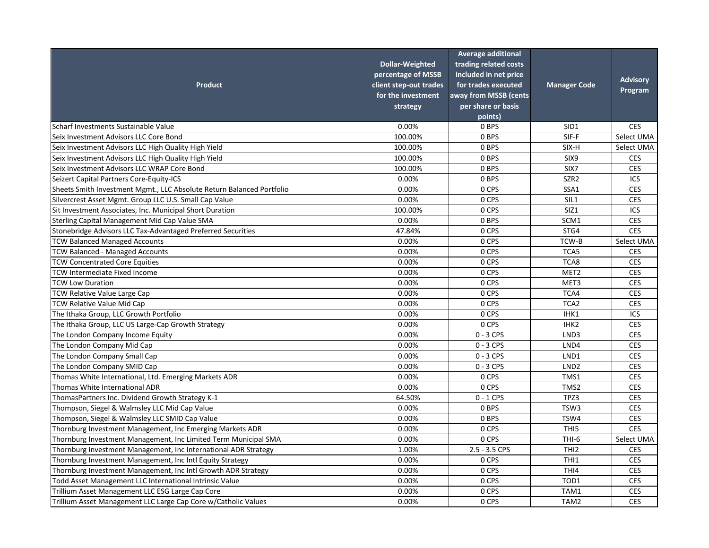| <b>Product</b>                                                        | <b>Dollar-Weighted</b><br>percentage of MSSB<br>client step-out trades<br>for the investment<br>strategy | <b>Average additional</b><br>trading related costs<br>included in net price<br>for trades executed<br>away from MSSB (cents<br>per share or basis<br>points) | <b>Manager Code</b> | <b>Advisory</b><br>Program |
|-----------------------------------------------------------------------|----------------------------------------------------------------------------------------------------------|--------------------------------------------------------------------------------------------------------------------------------------------------------------|---------------------|----------------------------|
| Scharf Investments Sustainable Value                                  | 0.00%                                                                                                    | 0 BPS                                                                                                                                                        | SID <sub>1</sub>    | <b>CES</b>                 |
| Seix Investment Advisors LLC Core Bond                                | 100.00%                                                                                                  | 0 BPS                                                                                                                                                        | SIF-F               | Select UMA                 |
| Seix Investment Advisors LLC High Quality High Yield                  | 100.00%                                                                                                  | 0 BPS                                                                                                                                                        | SIX-H               | Select UMA                 |
| Seix Investment Advisors LLC High Quality High Yield                  | 100.00%                                                                                                  | 0 BPS                                                                                                                                                        | SIX9                | <b>CES</b>                 |
| Seix Investment Advisors LLC WRAP Core Bond                           | 100.00%                                                                                                  | 0 BPS                                                                                                                                                        | SIX7                | <b>CES</b>                 |
| Seizert Capital Partners Core-Equity-ICS                              | 0.00%                                                                                                    | 0 BPS                                                                                                                                                        | SZR <sub>2</sub>    | ICS                        |
| Sheets Smith Investment Mgmt., LLC Absolute Return Balanced Portfolio | 0.00%                                                                                                    | 0 CPS                                                                                                                                                        | SSA1                | <b>CES</b>                 |
| Silvercrest Asset Mgmt. Group LLC U.S. Small Cap Value                | 0.00%                                                                                                    | 0 CPS                                                                                                                                                        | SIL1                | <b>CES</b>                 |
| Sit Investment Associates, Inc. Municipal Short Duration              | 100.00%                                                                                                  | 0 CPS                                                                                                                                                        | SIZ1                | ICS                        |
| Sterling Capital Management Mid Cap Value SMA                         | 0.00%                                                                                                    | 0 BPS                                                                                                                                                        | SCM1                | <b>CES</b>                 |
| Stonebridge Advisors LLC Tax-Advantaged Preferred Securities          | 47.84%                                                                                                   | 0 CPS                                                                                                                                                        | STG4                | <b>CES</b>                 |
| <b>TCW Balanced Managed Accounts</b>                                  | 0.00%                                                                                                    | 0 CPS                                                                                                                                                        | TCW-B               | Select UMA                 |
| <b>TCW Balanced - Managed Accounts</b>                                | 0.00%                                                                                                    | 0 CPS                                                                                                                                                        | TCA5                | <b>CES</b>                 |
| <b>TCW Concentrated Core Equities</b>                                 | 0.00%                                                                                                    | 0 CPS                                                                                                                                                        | TCA8                | <b>CES</b>                 |
| <b>TCW Intermediate Fixed Income</b>                                  | 0.00%                                                                                                    | 0 CPS                                                                                                                                                        | MET <sub>2</sub>    | <b>CES</b>                 |
| <b>TCW Low Duration</b>                                               | 0.00%                                                                                                    | 0 CPS                                                                                                                                                        | MET3                | <b>CES</b>                 |
| TCW Relative Value Large Cap                                          | 0.00%                                                                                                    | 0 CPS                                                                                                                                                        | TCA4                | <b>CES</b>                 |
| <b>TCW Relative Value Mid Cap</b>                                     | 0.00%                                                                                                    | 0 CPS                                                                                                                                                        | TCA <sub>2</sub>    | <b>CES</b>                 |
| The Ithaka Group, LLC Growth Portfolio                                | 0.00%                                                                                                    | 0 CPS                                                                                                                                                        | IHK1                | ICS                        |
| The Ithaka Group, LLC US Large-Cap Growth Strategy                    | 0.00%                                                                                                    | 0 CPS                                                                                                                                                        | IHK <sub>2</sub>    | <b>CES</b>                 |
| The London Company Income Equity                                      | 0.00%                                                                                                    | $0 - 3$ CPS                                                                                                                                                  | LND3                | <b>CES</b>                 |
| The London Company Mid Cap                                            | 0.00%                                                                                                    | $0 - 3$ CPS                                                                                                                                                  | LND4                | <b>CES</b>                 |
| The London Company Small Cap                                          | 0.00%                                                                                                    | $0 - 3$ CPS                                                                                                                                                  | LND1                | <b>CES</b>                 |
| The London Company SMID Cap                                           | 0.00%                                                                                                    | $0 - 3$ CPS                                                                                                                                                  | LND <sub>2</sub>    | <b>CES</b>                 |
| Thomas White International, Ltd. Emerging Markets ADR                 | 0.00%                                                                                                    | 0 CPS                                                                                                                                                        | TMS1                | <b>CES</b>                 |
| Thomas White International ADR                                        | 0.00%                                                                                                    | 0 CPS                                                                                                                                                        | TMS2                | <b>CES</b>                 |
| ThomasPartners Inc. Dividend Growth Strategy K-1                      | 64.50%                                                                                                   | $0 - 1$ CPS                                                                                                                                                  | TPZ3                | <b>CES</b>                 |
| Thompson, Siegel & Walmsley LLC Mid Cap Value                         | 0.00%                                                                                                    | 0 BPS                                                                                                                                                        | TSW3                | <b>CES</b>                 |
| Thompson, Siegel & Walmsley LLC SMID Cap Value                        | 0.00%                                                                                                    | 0 BPS                                                                                                                                                        | TSW4                | <b>CES</b>                 |
| Thornburg Investment Management, Inc Emerging Markets ADR             | 0.00%                                                                                                    | 0 CPS                                                                                                                                                        | THI5                | <b>CES</b>                 |
| Thornburg Investment Management, Inc Limited Term Municipal SMA       | 0.00%                                                                                                    | 0 CPS                                                                                                                                                        | THI-6               | Select UMA                 |
| Thornburg Investment Management, Inc International ADR Strategy       | 1.00%                                                                                                    | $2.5 - 3.5$ CPS                                                                                                                                              | THI <sub>2</sub>    | <b>CES</b>                 |
| Thornburg Investment Management, Inc Intl Equity Strategy             | 0.00%                                                                                                    | 0 CPS                                                                                                                                                        | THI1                | <b>CES</b>                 |
| Thornburg Investment Management, Inc Intl Growth ADR Strategy         | 0.00%                                                                                                    | 0 CPS                                                                                                                                                        | THI4                | <b>CES</b>                 |
| Todd Asset Management LLC International Intrinsic Value               | 0.00%                                                                                                    | 0 CPS                                                                                                                                                        | TOD1                | <b>CES</b>                 |
| Trillium Asset Management LLC ESG Large Cap Core                      | 0.00%                                                                                                    | 0 CPS                                                                                                                                                        | TAM1                | <b>CES</b>                 |
| Trillium Asset Management LLC Large Cap Core w/Catholic Values        | 0.00%                                                                                                    | 0 CPS                                                                                                                                                        | TAM2                | <b>CES</b>                 |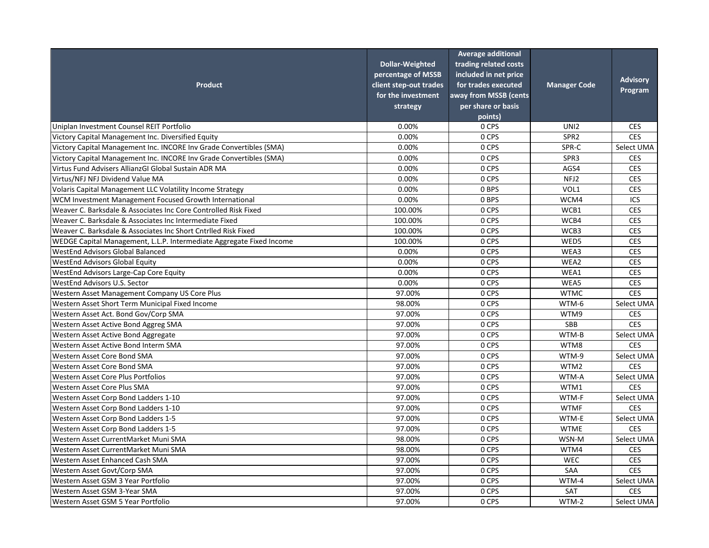|                                                                      |                        | <b>Average additional</b> |                     |                 |
|----------------------------------------------------------------------|------------------------|---------------------------|---------------------|-----------------|
|                                                                      | <b>Dollar-Weighted</b> | trading related costs     |                     |                 |
|                                                                      | percentage of MSSB     | included in net price     |                     | <b>Advisory</b> |
| <b>Product</b>                                                       | client step-out trades | for trades executed       | <b>Manager Code</b> |                 |
|                                                                      | for the investment     | away from MSSB (cents     |                     | Program         |
|                                                                      | strategy               | per share or basis        |                     |                 |
|                                                                      |                        | points)                   |                     |                 |
| Uniplan Investment Counsel REIT Portfolio                            | 0.00%                  | 0 CPS                     | UNI <sub>2</sub>    | <b>CES</b>      |
| Victory Capital Management Inc. Diversified Equity                   | 0.00%                  | 0 CPS                     | SPR <sub>2</sub>    | <b>CES</b>      |
| Victory Capital Management Inc. INCORE Inv Grade Convertibles (SMA)  | 0.00%                  | 0 CPS                     | SPR-C               | Select UMA      |
| Victory Capital Management Inc. INCORE Inv Grade Convertibles (SMA)  | 0.00%                  | 0 CPS                     | SPR <sub>3</sub>    | <b>CES</b>      |
| Virtus Fund Advisers AllianzGI Global Sustain ADR MA                 | 0.00%                  | 0 CPS                     | AGS4                | <b>CES</b>      |
| Virtus/NFJ NFJ Dividend Value MA                                     | 0.00%                  | 0 CPS                     | NFJ2                | <b>CES</b>      |
| Volaris Capital Management LLC Volatility Income Strategy            | 0.00%                  | 0 BPS                     | VOL1                | <b>CES</b>      |
| WCM Investment Management Focused Growth International               | 0.00%                  | 0 BPS                     | WCM4                | <b>ICS</b>      |
| Weaver C. Barksdale & Associates Inc Core Controlled Risk Fixed      | 100.00%                | 0 CPS                     | WCB1                | <b>CES</b>      |
| Weaver C. Barksdale & Associates Inc Intermediate Fixed              | 100.00%                | 0 CPS                     | WCB4                | <b>CES</b>      |
| Weaver C. Barksdale & Associates Inc Short Cntriled Risk Fixed       | 100.00%                | 0 CPS                     | WCB3                | <b>CES</b>      |
| WEDGE Capital Management, L.L.P. Intermediate Aggregate Fixed Income | 100.00%                | 0 CPS                     | WED5                | <b>CES</b>      |
| <b>WestEnd Advisors Global Balanced</b>                              | 0.00%                  | 0 CPS                     | WEA3                | <b>CES</b>      |
| <b>WestEnd Advisors Global Equity</b>                                | 0.00%                  | 0 CPS                     | WEA2                | <b>CES</b>      |
| <b>WestEnd Advisors Large-Cap Core Equity</b>                        | 0.00%                  | 0 CPS                     | WEA1                | <b>CES</b>      |
| <b>WestEnd Advisors U.S. Sector</b>                                  | 0.00%                  | 0 CPS                     | WEA5                | <b>CES</b>      |
| <b>Western Asset Management Company US Core Plus</b>                 | 97.00%                 | 0 CPS                     | <b>WTMC</b>         | <b>CES</b>      |
| Western Asset Short Term Municipal Fixed Income                      | 98.00%                 | 0 CPS                     | WTM-6               | Select UMA      |
| Western Asset Act. Bond Gov/Corp SMA                                 | 97.00%                 | 0 CPS                     | WTM9                | <b>CES</b>      |
| <b>Western Asset Active Bond Aggreg SMA</b>                          | 97.00%                 | 0 CPS                     | <b>SBB</b>          | <b>CES</b>      |
| Western Asset Active Bond Aggregate                                  | 97.00%                 | 0 CPS                     | WTM-B               | Select UMA      |
| Western Asset Active Bond Interm SMA                                 | 97.00%                 | 0 CPS                     | WTM8                | <b>CES</b>      |
| Western Asset Core Bond SMA                                          | 97.00%                 | 0 CPS                     | WTM-9               | Select UMA      |
| <b>Western Asset Core Bond SMA</b>                                   | 97.00%                 | 0 CPS                     | WTM2                | <b>CES</b>      |
| <b>Western Asset Core Plus Portfolios</b>                            | 97.00%                 | 0 CPS                     | WTM-A               | Select UMA      |
| <b>Western Asset Core Plus SMA</b>                                   | 97.00%                 | 0 CPS                     | WTM1                | <b>CES</b>      |
| Western Asset Corp Bond Ladders 1-10                                 | 97.00%                 | 0 CPS                     | WTM-F               | Select UMA      |
| Western Asset Corp Bond Ladders 1-10                                 | 97.00%                 | 0 CPS                     | <b>WTMF</b>         | <b>CES</b>      |
| Western Asset Corp Bond Ladders 1-5                                  | 97.00%                 | 0 CPS                     | WTM-E               | Select UMA      |
| Western Asset Corp Bond Ladders 1-5                                  | 97.00%                 | 0 CPS                     | <b>WTME</b>         | <b>CES</b>      |
| Western Asset CurrentMarket Muni SMA                                 | 98.00%                 | 0 CPS                     | WSN-M               | Select UMA      |
| Western Asset CurrentMarket Muni SMA                                 | 98.00%                 | 0 CPS                     | WTM4                | <b>CES</b>      |
| <b>Western Asset Enhanced Cash SMA</b>                               | 97.00%                 | 0 CPS                     | <b>WEC</b>          | <b>CES</b>      |
| Western Asset Govt/Corp SMA                                          | 97.00%                 | 0 CPS                     | SAA                 | <b>CES</b>      |
| Western Asset GSM 3 Year Portfolio                                   | 97.00%                 | 0 CPS                     | WTM-4               | Select UMA      |
| Western Asset GSM 3-Year SMA                                         | 97.00%                 | 0 CPS                     | SAT                 | <b>CES</b>      |
| Western Asset GSM 5 Year Portfolio                                   | 97.00%                 | 0 CPS                     | WTM-2               | Select UMA      |